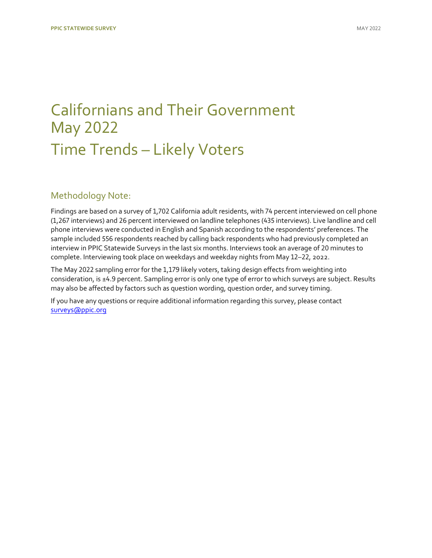## [Californians and Their Government](https://www.ppic.org/publication/ppic-statewide-survey-californians-and-their-government-may-2022/) May 2022 Time Trends – Likely Voters

### Methodology Note:

Findings are based on a survey of 1,702 California adult residents, with 74 percent interviewed on cell phone (1,267 interviews) and 26 percent interviewed on landline telephones (435 interviews). Live landline and cell phone interviews were conducted in English and Spanish according to the respondents' preferences. The sample included 556 respondents reached by calling back respondents who had previously completed an interview in PPIC Statewide Surveys in the last six months. Interviews took an average of 20 minutes to complete. Interviewing took place on weekdays and weekday nights from May 12–22, 2022.

The May 2022 sampling error for the 1,179 likely voters, taking design effects from weighting into consideration, is ±4.9 percent. Sampling error is only one type of error to which surveys are subject. Results may also be affected by factors such as question wording, question order, and survey timing.

If you have any questions or require additional information regarding this survey, please contact [surveys@ppic.org](mailto:surveys@ppic.org)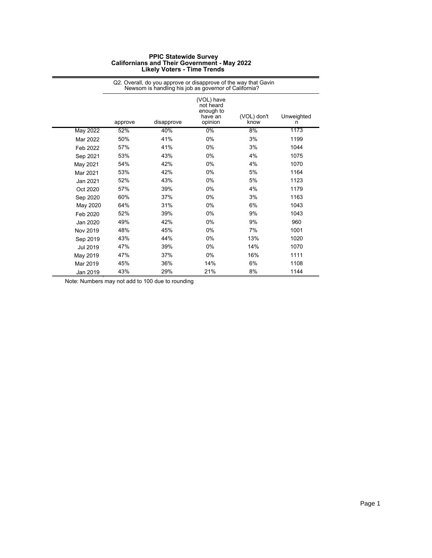|                 | Q2. Overall, do you approve or disapprove of the way that Gavin<br>Newsom is handling his job as governor of California? |            |                                                            |                     |                 |  |
|-----------------|--------------------------------------------------------------------------------------------------------------------------|------------|------------------------------------------------------------|---------------------|-----------------|--|
|                 | approve                                                                                                                  | disapprove | (VOL) have<br>not heard<br>enough to<br>have an<br>opinion | (VOL) don't<br>know | Unweighted<br>n |  |
| <b>May 2022</b> | 52%                                                                                                                      | 40%        | 0%                                                         | 8%                  | 1173            |  |
| Mar 2022        | 50%                                                                                                                      | 41%        | 0%                                                         | 3%                  | 1199            |  |
| Feb 2022        | 57%                                                                                                                      | 41%        | 0%                                                         | 3%                  | 1044            |  |
| Sep 2021        | 53%                                                                                                                      | 43%        | 0%                                                         | 4%                  | 1075            |  |
| May 2021        | 54%                                                                                                                      | 42%        | 0%                                                         | 4%                  | 1070            |  |
| Mar 2021        | 53%                                                                                                                      | 42%        | 0%                                                         | 5%                  | 1164            |  |
| Jan 2021        | 52%                                                                                                                      | 43%        | 0%                                                         | 5%                  | 1123            |  |
| Oct 2020        | 57%                                                                                                                      | 39%        | 0%                                                         | 4%                  | 1179            |  |
| Sep 2020        | 60%                                                                                                                      | 37%        | 0%                                                         | 3%                  | 1163            |  |
| May 2020        | 64%                                                                                                                      | 31%        | 0%                                                         | 6%                  | 1043            |  |
| Feb 2020        | 52%                                                                                                                      | 39%        | 0%                                                         | 9%                  | 1043            |  |
| Jan 2020        | 49%                                                                                                                      | 42%        | 0%                                                         | 9%                  | 960             |  |
| Nov 2019        | 48%                                                                                                                      | 45%        | 0%                                                         | 7%                  | 1001            |  |
| Sep 2019        | 43%                                                                                                                      | 44%        | 0%                                                         | 13%                 | 1020            |  |
| Jul 2019        | 47%                                                                                                                      | 39%        | $0\%$                                                      | 14%                 | 1070            |  |
| May 2019        | 47%                                                                                                                      | 37%        | 0%                                                         | 16%                 | 1111            |  |
| Mar 2019        | 45%                                                                                                                      | 36%        | 14%                                                        | 6%                  | 1108            |  |
| Jan 2019        | 43%                                                                                                                      | 29%        | 21%                                                        | 8%                  | 1144            |  |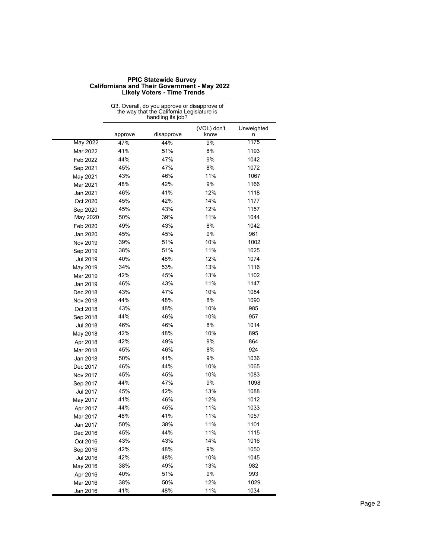|                 | the way that the California Legislature is<br>handling its job? |            |                     |                 |
|-----------------|-----------------------------------------------------------------|------------|---------------------|-----------------|
|                 | approve                                                         | disapprove | (VOL) don't<br>know | Unweighted<br>n |
| <b>May 2022</b> | 47%                                                             | 44%        | 9%                  | 1175            |
| Mar 2022        | 41%                                                             | 51%        | 8%                  | 1193            |
| Feb 2022        | 44%                                                             | 47%        | 9%                  | 1042            |
| Sep 2021        | 45%                                                             | 47%        | 8%                  | 1072            |
| May 2021        | 43%                                                             | 46%        | 11%                 | 1067            |
| Mar 2021        | 48%                                                             | 42%        | 9%                  | 1166            |
| Jan 2021        | 46%                                                             | 41%        | 12%                 | 1118            |
| Oct 2020        | 45%                                                             | 42%        | 14%                 | 1177            |
| Sep 2020        | 45%                                                             | 43%        | 12%                 | 1157            |
| May 2020        | 50%                                                             | 39%        | 11%                 | 1044            |
| Feb 2020        | 49%                                                             | 43%        | 8%                  | 1042            |
| Jan 2020        | 45%                                                             | 45%        | 9%                  | 961             |
| Nov 2019        | 39%                                                             | 51%        | 10%                 | 1002            |
| Sep 2019        | 38%                                                             | 51%        | 11%                 | 1025            |
| <b>Jul 2019</b> | 40%                                                             | 48%        | 12%                 | 1074            |
| May 2019        | 34%                                                             | 53%        | 13%                 | 1116            |
| Mar 2019        | 42%                                                             | 45%        | 13%                 | 1102            |
| Jan 2019        | 46%                                                             | 43%        | 11%                 | 1147            |
| Dec 2018        | 43%                                                             | 47%        | 10%                 | 1084            |
| Nov 2018        | 44%                                                             | 48%        | 8%                  | 1090            |
| Oct 2018        | 43%                                                             | 48%        | 10%                 | 985             |
| Sep 2018        | 44%                                                             | 46%        | 10%                 | 957             |
| Jul 2018        | 46%                                                             | 46%        | 8%                  | 1014            |
| May 2018        | 42%                                                             | 48%        | 10%                 | 895             |
| Apr 2018        | 42%                                                             | 49%        | 9%                  | 864             |
| Mar 2018        | 45%                                                             | 46%        | 8%                  | 924             |
| Jan 2018        | 50%                                                             | 41%        | 9%                  | 1036            |
| Dec 2017        | 46%                                                             | 44%        | 10%                 | 1065            |
| Nov 2017        | 45%                                                             | 45%        | 10%                 | 1083            |
| Sep 2017        | 44%                                                             | 47%        | 9%                  | 1098            |
| Jul 2017        | 45%                                                             | 42%        | 13%                 | 1088            |
| May 2017        | 41%                                                             | 46%        | 12%                 | 1012            |
| Apr 2017        | 44%                                                             | 45%        | 11%                 | 1033            |
| Mar 2017        | 48%                                                             | 41%        | 11%                 | 1057            |
| Jan 2017        | 50%                                                             | 38%        | 11%                 | 1101            |
| Dec 2016        | 45%                                                             | 44%        | 11%                 | 1115            |
| Oct 2016        | 43%                                                             | 43%        | 14%                 | 1016            |
| Sep 2016        | 42%                                                             | 48%        | 9%                  | 1050            |
| Jul 2016        | 42%                                                             | 48%        | 10%                 | 1045            |
| May 2016        | 38%                                                             | 49%        | 13%                 | 982             |
| Apr 2016        | 40%                                                             | 51%        | 9%                  | 993             |
| Mar 2016        | 38%                                                             | 50%        | 12%                 | 1029            |
| Jan 2016        | 41%                                                             | 48%        | 11%                 | 1034            |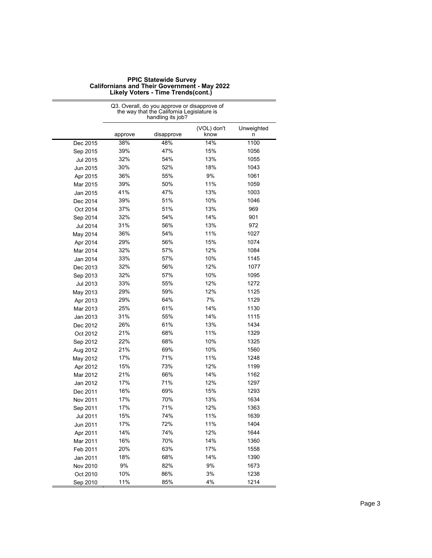| <b>PPIC Statewide Survey</b>                        |
|-----------------------------------------------------|
| <b>Californians and Their Government - May 2022</b> |
| Likely Voters - Time Trends(cont.)                  |

|          | Q3. Overall, do you approve or disapprove of<br>the way that the California Legislature is<br>handling its job? |            |                     |                 |
|----------|-----------------------------------------------------------------------------------------------------------------|------------|---------------------|-----------------|
|          | approve                                                                                                         | disapprove | (VOL) don't<br>know | Unweighted<br>n |
| Dec 2015 | 38%                                                                                                             | 48%        | 14%                 | 1100            |
| Sep 2015 | 39%                                                                                                             | 47%        | 15%                 | 1056            |
| Jul 2015 | 32%                                                                                                             | 54%        | 13%                 | 1055            |
| Jun 2015 | 30%                                                                                                             | 52%        | 18%                 | 1043            |
| Apr 2015 | 36%                                                                                                             | 55%        | 9%                  | 1061            |
| Mar 2015 | 39%                                                                                                             | 50%        | 11%                 | 1059            |
| Jan 2015 | 41%                                                                                                             | 47%        | 13%                 | 1003            |
| Dec 2014 | 39%                                                                                                             | 51%        | 10%                 | 1046            |
| Oct 2014 | 37%                                                                                                             | 51%        | 13%                 | 969             |
| Sep 2014 | 32%                                                                                                             | 54%        | 14%                 | 901             |
| Jul 2014 | 31%                                                                                                             | 56%        | 13%                 | 972             |
| May 2014 | 36%                                                                                                             | 54%        | 11%                 | 1027            |
| Apr 2014 | 29%                                                                                                             | 56%        | 15%                 | 1074            |
| Mar 2014 | 32%                                                                                                             | 57%        | 12%                 | 1084            |
| Jan 2014 | 33%                                                                                                             | 57%        | 10%                 | 1145            |
| Dec 2013 | 32%                                                                                                             | 56%        | 12%                 | 1077            |
| Sep 2013 | 32%                                                                                                             | 57%        | 10%                 | 1095            |
| Jul 2013 | 33%                                                                                                             | 55%        | 12%                 | 1272            |
| May 2013 | 29%                                                                                                             | 59%        | 12%                 | 1125            |
| Apr 2013 | 29%                                                                                                             | 64%        | 7%                  | 1129            |
| Mar 2013 | 25%                                                                                                             | 61%        | 14%                 | 1130            |
| Jan 2013 | 31%                                                                                                             | 55%        | 14%                 | 1115            |
| Dec 2012 | 26%                                                                                                             | 61%        | 13%                 | 1434            |
| Oct 2012 | 21%                                                                                                             | 68%        | 11%                 | 1329            |
| Sep 2012 | 22%                                                                                                             | 68%        | 10%                 | 1325            |
| Aug 2012 | 21%                                                                                                             | 69%        | 10%                 | 1560            |
| May 2012 | 17%                                                                                                             | 71%        | 11%                 | 1248            |
| Apr 2012 | 15%                                                                                                             | 73%        | 12%                 | 1199            |
| Mar 2012 | 21%                                                                                                             | 66%        | 14%                 | 1162            |
| Jan 2012 | 17%                                                                                                             | 71%        | 12%                 | 1297            |
| Dec 2011 | 16%                                                                                                             | 69%        | 15%                 | 1293            |
| Nov 2011 | 17%                                                                                                             | 70%        | 13%                 | 1634            |
| Sep 2011 | 17%                                                                                                             | 71%        | 12%                 | 1363            |
| Jul 2011 | 15%                                                                                                             | 74%        | 11%                 | 1639            |
| Jun 2011 | 17%                                                                                                             | 72%        | 11%                 | 1404            |
| Apr 2011 | 14%                                                                                                             | 74%        | 12%                 | 1644            |
| Mar 2011 | 16%                                                                                                             | 70%        | 14%                 | 1360            |
| Feb 2011 | 20%                                                                                                             | 63%        | 17%                 | 1558            |
| Jan 2011 | 18%                                                                                                             | 68%        | 14%                 | 1390            |
| Nov 2010 | $9\%$                                                                                                           | 82%        | 9%                  | 1673            |
| Oct 2010 | 10%                                                                                                             | 86%        | 3%                  | 1238            |
| Sep 2010 | 11%                                                                                                             | 85%        | 4%                  | 1214            |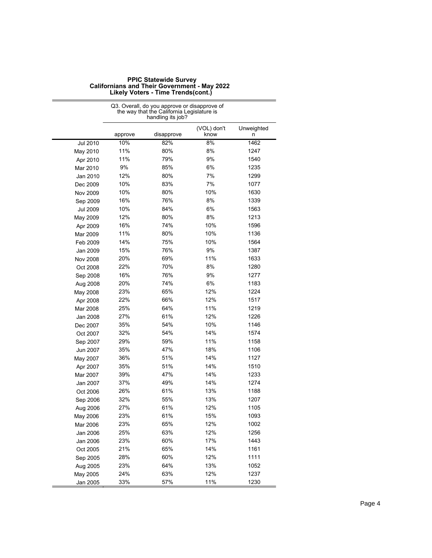| <b>PPIC Statewide Survey</b>                        |
|-----------------------------------------------------|
| <b>Californians and Their Government - May 2022</b> |
| Likely Voters - Time Trends(cont.)                  |

Q3. Overall, do you approve or disapprove of

|                 |         | the way that the California Legislature is<br>handling its job? |                     |                 |
|-----------------|---------|-----------------------------------------------------------------|---------------------|-----------------|
|                 | approve | disapprove                                                      | (VOL) don't<br>know | Unweighted<br>n |
| Jul 2010        | 10%     | 82%                                                             | 8%                  | 1462            |
| May 2010        | 11%     | 80%                                                             | 8%                  | 1247            |
| Apr 2010        | 11%     | 79%                                                             | 9%                  | 1540            |
| Mar 2010        | 9%      | 85%                                                             | 6%                  | 1235            |
| Jan 2010        | 12%     | 80%                                                             | 7%                  | 1299            |
| Dec 2009        | 10%     | 83%                                                             | 7%                  | 1077            |
| Nov 2009        | 10%     | 80%                                                             | 10%                 | 1630            |
| Sep 2009        | 16%     | 76%                                                             | 8%                  | 1339            |
| <b>Jul 2009</b> | 10%     | 84%                                                             | 6%                  | 1563            |
| May 2009        | 12%     | 80%                                                             | 8%                  | 1213            |
| Apr 2009        | 16%     | 74%                                                             | 10%                 | 1596            |
| Mar 2009        | 11%     | 80%                                                             | 10%                 | 1136            |
| Feb 2009        | 14%     | 75%                                                             | 10%                 | 1564            |
| Jan 2009        | 15%     | 76%                                                             | 9%                  | 1387            |
| Nov 2008        | 20%     | 69%                                                             | 11%                 | 1633            |
| Oct 2008        | 22%     | 70%                                                             | 8%                  | 1280            |
| Sep 2008        | 16%     | 76%                                                             | 9%                  | 1277            |
| Aug 2008        | 20%     | 74%                                                             | 6%                  | 1183            |
| May 2008        | 23%     | 65%                                                             | 12%                 | 1224            |
| Apr 2008        | 22%     | 66%                                                             | 12%                 | 1517            |
| Mar 2008        | 25%     | 64%                                                             | 11%                 | 1219            |
| Jan 2008        | 27%     | 61%                                                             | 12%                 | 1226            |
| Dec 2007        | 35%     | 54%                                                             | 10%                 | 1146            |
| Oct 2007        | 32%     | 54%                                                             | 14%                 | 1574            |
| Sep 2007        | 29%     | 59%                                                             | 11%                 | 1158            |
| Jun 2007        | 35%     | 47%                                                             | 18%                 | 1106            |
| May 2007        | 36%     | 51%                                                             | 14%                 | 1127            |
| Apr 2007        | 35%     | 51%                                                             | 14%                 | 1510            |
| Mar 2007        | 39%     | 47%                                                             | 14%                 | 1233            |
| Jan 2007        | 37%     | 49%                                                             | 14%                 | 1274            |
| Oct 2006        | 26%     | 61%                                                             | 13%                 | 1188            |
| Sep 2006        | 32%     | 55%                                                             | 13%                 | 1207            |
| Aug 2006        | 27%     | 61%                                                             | 12%                 | 1105            |
| May 2006        | 23%     | 61%                                                             | 15%                 | 1093            |
| Mar 2006        | 23%     | 65%                                                             | 12%                 | 1002            |
| Jan 2006        | 25%     | 63%                                                             | 12%                 | 1256            |
| Jan 2006        | 23%     | 60%                                                             | 17%                 | 1443            |
| Oct 2005        | 21%     | 65%                                                             | 14%                 | 1161            |
| Sep 2005        | 28%     | 60%                                                             | 12%                 | 1111            |
| Aug 2005        | 23%     | 64%                                                             | 13%                 | 1052            |
| May 2005        | 24%     | 63%                                                             | 12%                 | 1237            |
| Jan 2005        | 33%     | 57%                                                             | 11%                 | 1230            |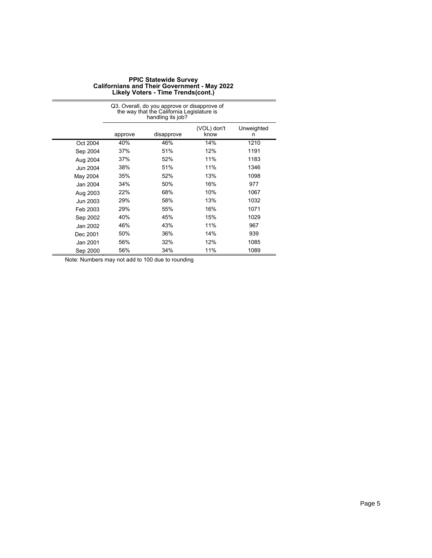|          |         | Q3. Overall, do you approve or disapprove of<br>the way that the California Legislature is<br>handling its job? |                     |                 |
|----------|---------|-----------------------------------------------------------------------------------------------------------------|---------------------|-----------------|
|          | approve | disapprove                                                                                                      | (VOL) don't<br>know | Unweighted<br>n |
| Oct 2004 | 40%     | 46%                                                                                                             | 14%                 | 1210            |
| Sep 2004 | 37%     | 51%                                                                                                             | 12%                 | 1191            |
| Aug 2004 | 37%     | 52%                                                                                                             | 11%                 | 1183            |
| Jun 2004 | 38%     | 51%                                                                                                             | 11%                 | 1346            |
| May 2004 | 35%     | 52%                                                                                                             | 13%                 | 1098            |
| Jan 2004 | 34%     | 50%                                                                                                             | 16%                 | 977             |
| Aug 2003 | 22%     | 68%                                                                                                             | 10%                 | 1067            |
| Jun 2003 | 29%     | 58%                                                                                                             | 13%                 | 1032            |
| Feb 2003 | 29%     | 55%                                                                                                             | 16%                 | 1071            |
| Sep 2002 | 40%     | 45%                                                                                                             | 15%                 | 1029            |
| Jan 2002 | 46%     | 43%                                                                                                             | 11%                 | 967             |
| Dec 2001 | 50%     | 36%                                                                                                             | 14%                 | 939             |
| Jan 2001 | 56%     | 32%                                                                                                             | 12%                 | 1085            |
| Sep 2000 | 56%     | 34%                                                                                                             | 11%                 | 1089            |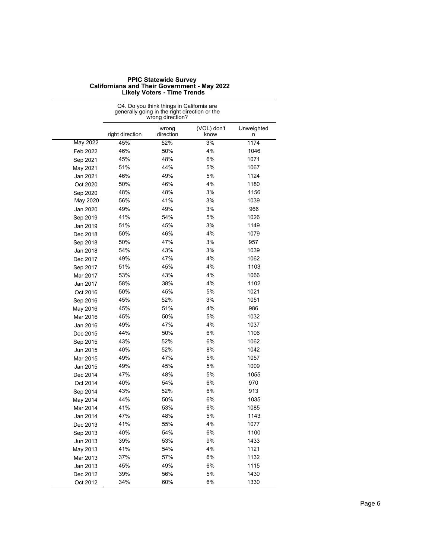|                 | Q4. Do you think things in California are<br>generally going in the right direction or the<br>wrong direction? |                    |                     |                 |
|-----------------|----------------------------------------------------------------------------------------------------------------|--------------------|---------------------|-----------------|
|                 | right direction                                                                                                | wrong<br>direction | (VOL) don't<br>know | Unweighted<br>n |
| <b>May 2022</b> | 45%                                                                                                            | 52%                | 3%                  | 1174            |
| Feb 2022        | 46%                                                                                                            | 50%                | 4%                  | 1046            |
| Sep 2021        | 45%                                                                                                            | 48%                | 6%                  | 1071            |
| May 2021        | 51%                                                                                                            | 44%                | 5%                  | 1067            |
| Jan 2021        | 46%                                                                                                            | 49%                | 5%                  | 1124            |
| Oct 2020        | 50%                                                                                                            | 46%                | 4%                  | 1180            |
| Sep 2020        | 48%                                                                                                            | 48%                | 3%                  | 1156            |
| May 2020        | 56%                                                                                                            | 41%                | 3%                  | 1039            |
| Jan 2020        | 49%                                                                                                            | 49%                | 3%                  | 966             |
| Sep 2019        | 41%                                                                                                            | 54%                | 5%                  | 1026            |
| Jan 2019        | 51%                                                                                                            | 45%                | 3%                  | 1149            |
| Dec 2018        | 50%                                                                                                            | 46%                | 4%                  | 1079            |
| Sep 2018        | 50%                                                                                                            | 47%                | 3%                  | 957             |
| Jan 2018        | 54%                                                                                                            | 43%                | 3%                  | 1039            |
| Dec 2017        | 49%                                                                                                            | 47%                | 4%                  | 1062            |
| Sep 2017        | 51%                                                                                                            | 45%                | 4%                  | 1103            |
| Mar 2017        | 53%                                                                                                            | 43%                | 4%                  | 1066            |
| Jan 2017        | 58%                                                                                                            | 38%                | 4%                  | 1102            |
| Oct 2016        | 50%                                                                                                            | 45%                | 5%                  | 1021            |
| Sep 2016        | 45%                                                                                                            | 52%                | 3%                  | 1051            |
| May 2016        | 45%                                                                                                            | 51%                | 4%                  | 986             |
| Mar 2016        | 45%                                                                                                            | 50%                | 5%                  | 1032            |
| Jan 2016        | 49%                                                                                                            | 47%                | 4%                  | 1037            |
| Dec 2015        | 44%                                                                                                            | 50%                | 6%                  | 1106            |
| Sep 2015        | 43%                                                                                                            | 52%                | 6%                  | 1062            |
| Jun 2015        | 40%                                                                                                            | 52%                | 8%                  | 1042            |
| Mar 2015        | 49%                                                                                                            | 47%                | 5%                  | 1057            |
| Jan 2015        | 49%                                                                                                            | 45%                | 5%                  | 1009            |
| Dec 2014        | 47%                                                                                                            | 48%                | 5%                  | 1055            |
| Oct 2014        | 40%                                                                                                            | 54%                | 6%                  | 970             |
| Sep 2014        | 43%                                                                                                            | 52%                | 6%                  | 913             |
| May 2014        | 44%                                                                                                            | 50%                | 6%                  | 1035            |
| Mar 2014        | 41%                                                                                                            | 53%                | 6%                  | 1085            |
| Jan 2014        | 47%                                                                                                            | 48%                | 5%                  | 1143            |
| Dec 2013        | 41%                                                                                                            | 55%                | 4%                  | 1077            |
| Sep 2013        | 40%                                                                                                            | 54%                | 6%                  | 1100            |
| Jun 2013        | 39%                                                                                                            | 53%                | 9%                  | 1433            |
| May 2013        | 41%                                                                                                            | 54%                | 4%                  | 1121            |
| Mar 2013        | 37%                                                                                                            | 57%                | $6\%$               | 1132            |
| Jan 2013        | 45%                                                                                                            | 49%                | $6\%$               | 1115            |
| Dec 2012        | 39%                                                                                                            | 56%                | 5%                  | 1430            |
| Oct 2012        | 34%                                                                                                            | 60%                | $6\%$               | 1330            |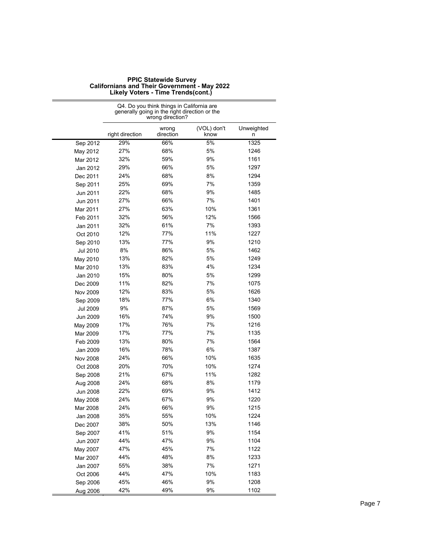|                 | Q4. Do you think things in California are<br>generally going in the right direction or the<br>wrong direction? |                    |                     |                 |
|-----------------|----------------------------------------------------------------------------------------------------------------|--------------------|---------------------|-----------------|
|                 | right direction                                                                                                | wrong<br>direction | (VOL) don't<br>know | Unweighted<br>n |
| Sep 2012        | 29%                                                                                                            | 66%                | 5%                  | 1325            |
| May 2012        | 27%                                                                                                            | 68%                | 5%                  | 1246            |
| Mar 2012        | 32%                                                                                                            | 59%                | 9%                  | 1161            |
| Jan 2012        | 29%                                                                                                            | 66%                | 5%                  | 1297            |
| Dec 2011        | 24%                                                                                                            | 68%                | 8%                  | 1294            |
| Sep 2011        | 25%                                                                                                            | 69%                | 7%                  | 1359            |
| Jun 2011        | 22%                                                                                                            | 68%                | 9%                  | 1485            |
| Jun 2011        | 27%                                                                                                            | 66%                | 7%                  | 1401            |
| Mar 2011        | 27%                                                                                                            | 63%                | 10%                 | 1361            |
| Feb 2011        | 32%                                                                                                            | 56%                | 12%                 | 1566            |
| Jan 2011        | 32%                                                                                                            | 61%                | 7%                  | 1393            |
| Oct 2010        | 12%                                                                                                            | 77%                | 11%                 | 1227            |
| Sep 2010        | 13%                                                                                                            | 77%                | 9%                  | 1210            |
| Jul 2010        | 8%                                                                                                             | 86%                | 5%                  | 1462            |
| May 2010        | 13%                                                                                                            | 82%                | 5%                  | 1249            |
| Mar 2010        | 13%                                                                                                            | 83%                | 4%                  | 1234            |
| Jan 2010        | 15%                                                                                                            | 80%                | 5%                  | 1299            |
| Dec 2009        | 11%                                                                                                            | 82%                | 7%                  | 1075            |
| Nov 2009        | 12%                                                                                                            | 83%                | 5%                  | 1626            |
| Sep 2009        | 18%                                                                                                            | 77%                | 6%                  | 1340            |
| <b>Jul 2009</b> | 9%                                                                                                             | 87%                | 5%                  | 1569            |
| Jun 2009        | 16%                                                                                                            | 74%                | 9%                  | 1500            |
| May 2009        | 17%                                                                                                            | 76%                | 7%                  | 1216            |
| Mar 2009        | 17%                                                                                                            | 77%                | 7%                  | 1135            |
| Feb 2009        | 13%                                                                                                            | 80%                | 7%                  | 1564            |
| Jan 2009        | 16%                                                                                                            | 78%                | 6%                  | 1387            |
| Nov 2008        | 24%                                                                                                            | 66%                | 10%                 | 1635            |
| Oct 2008        | 20%                                                                                                            | 70%                | 10%                 | 1274            |
| Sep 2008        | 21%                                                                                                            | 67%                | 11%                 | 1282            |
| Aug 2008        | 24%                                                                                                            | 68%                | 8%                  | 1179            |
| Jun 2008        | 22%                                                                                                            | 69%                | 9%                  | 1412            |
| May 2008        | 24%                                                                                                            | 67%                | 9%                  | 1220            |
| Mar 2008        | 24%                                                                                                            | 66%                | 9%                  | 1215            |
| Jan 2008        | 35%                                                                                                            | 55%                | 10%                 | 1224            |
| Dec 2007        | 38%                                                                                                            | 50%                | 13%                 | 1146            |
| Sep 2007        | 41%                                                                                                            | 51%                | 9%                  | 1154            |
| Jun 2007        | 44%                                                                                                            | 47%                | 9%                  | 1104            |
| May 2007        | 47%                                                                                                            | 45%                | 7%                  | 1122            |
| Mar 2007        | 44%                                                                                                            | 48%                | 8%                  | 1233            |
| Jan 2007        | 55%                                                                                                            | 38%                | 7%                  | 1271            |
| Oct 2006        | 44%                                                                                                            | 47%                | 10%                 | 1183            |
| Sep 2006        | 45%                                                                                                            | 46%                | 9%                  | 1208            |
| Aug 2006        | 42%                                                                                                            | 49%                | 9%                  | 1102            |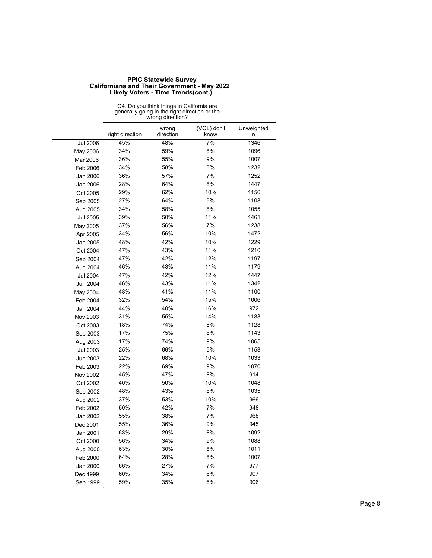|                 |                 | wrong direction?   |                     |                 |
|-----------------|-----------------|--------------------|---------------------|-----------------|
|                 | right direction | wrong<br>direction | (VOL) don't<br>know | Unweighted<br>n |
| <b>Jul 2006</b> | 45%             | 48%                | 7%                  | 1346            |
| May 2006        | 34%             | 59%                | 8%                  | 1096            |
| Mar 2006        | 36%             | 55%                | 9%                  | 1007            |
| Feb 2006        | 34%             | 58%                | 8%                  | 1232            |
| Jan 2006        | 36%             | 57%                | 7%                  | 1252            |
| Jan 2006        | 28%             | 64%                | 8%                  | 1447            |
| Oct 2005        | 29%             | 62%                | 10%                 | 1156            |
| Sep 2005        | 27%             | 64%                | 9%                  | 1108            |
| Aug 2005        | 34%             | 58%                | 8%                  | 1055            |
| Jul 2005        | 39%             | 50%                | 11%                 | 1461            |
| May 2005        | 37%             | 56%                | 7%                  | 1238            |
| Apr 2005        | 34%             | 56%                | 10%                 | 1472            |
| Jan 2005        | 48%             | 42%                | 10%                 | 1229            |
| Oct 2004        | 47%             | 43%                | 11%                 | 1210            |
| Sep 2004        | 47%             | 42%                | 12%                 | 1197            |
| Aug 2004        | 46%             | 43%                | 11%                 | 1179            |
| Jul 2004        | 47%             | 42%                | 12%                 | 1447            |
| Jun 2004        | 46%             | 43%                | 11%                 | 1342            |
| May 2004        | 48%             | 41%                | 11%                 | 1100            |
| Feb 2004        | 32%             | 54%                | 15%                 | 1006            |
| Jan 2004        | 44%             | 40%                | 16%                 | 972             |
| Nov 2003        | 31%             | 55%                | 14%                 | 1183            |
| Oct 2003        | 18%             | 74%                | 8%                  | 1128            |
| Sep 2003        | 17%             | 75%                | 8%                  | 1143            |
| Aug 2003        | 17%             | 74%                | 9%                  | 1065            |
| Jul 2003        | 25%             | 66%                | 9%                  | 1153            |
| Jun 2003        | 22%             | 68%                | 10%                 | 1033            |
| Feb 2003        | 22%             | 69%                | 9%                  | 1070            |
| Nov 2002        | 45%             | 47%                | 8%                  | 914             |
| Oct 2002        | 40%             | 50%                | 10%                 | 1048            |
| Sep 2002        | 48%             | 43%                | 8%                  | 1035            |
| Aug 2002        | 37%             | 53%                | 10%                 | 966             |
| Feb 2002        | 50%             | 42%                | 7%                  | 948             |
| Jan 2002        | 55%             | 38%                | 7%                  | 968             |
| Dec 2001        | 55%             | 36%                | 9%                  | 945             |
| Jan 2001        | 63%             | 29%                | 8%                  | 1092            |
| Oct 2000        | 56%             | 34%                | 9%                  | 1088            |
| Aug 2000        | 63%             | 30%                | 8%                  | 1011            |
| Feb 2000        | 64%             | 28%                | 8%                  | 1007            |
| Jan 2000        | 66%             | 27%                | 7%                  | 977             |
| Dec 1999        | 60%             | 34%                | 6%                  | 907             |
| Sep 1999        | 59%             | 35%                | 6%                  | 906             |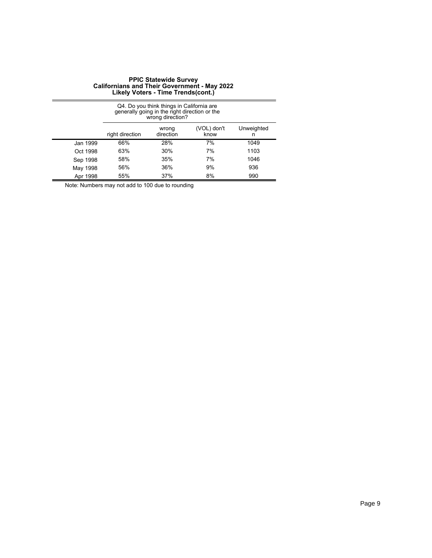| Q4. Do you think things in California are<br>generally going in the right direction or the<br>wrong direction? |                 |                    |                     |                 |
|----------------------------------------------------------------------------------------------------------------|-----------------|--------------------|---------------------|-----------------|
|                                                                                                                | right direction | wrong<br>direction | (VOL) don't<br>know | Unweighted<br>n |
| Jan 1999                                                                                                       | 66%             | 28%                | 7%                  | 1049            |
| Oct 1998                                                                                                       | 63%             | 30%                | 7%                  | 1103            |
| Sep 1998                                                                                                       | 58%             | 35%                | 7%                  | 1046            |
| May 1998                                                                                                       | 56%             | 36%                | 9%                  | 936             |
| Apr 1998                                                                                                       | 55%             | 37%                | 8%                  | 990             |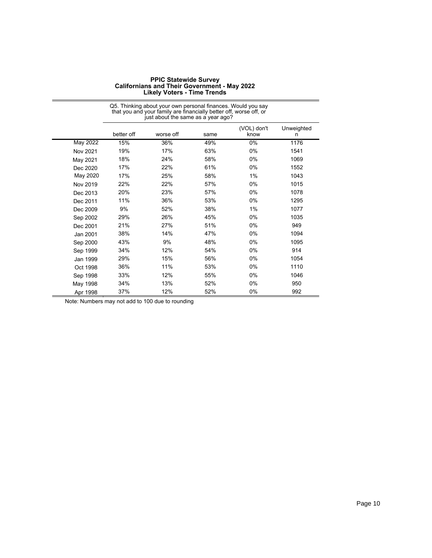| <b>PPIC Statewide Survey</b>                        |
|-----------------------------------------------------|
| <b>Californians and Their Government - May 2022</b> |
| <b>Likely Voters - Time Trends</b>                  |

|                 | that you and your family are financially better off, worse off, or<br>just about the same as a year ago? |           |      |                     |                 |  |
|-----------------|----------------------------------------------------------------------------------------------------------|-----------|------|---------------------|-----------------|--|
|                 | better off                                                                                               | worse off | same | (VOL) don't<br>know | Unweighted<br>n |  |
| <b>May 2022</b> | 15%                                                                                                      | 36%       | 49%  | $0\%$               | 1176            |  |
| Nov 2021        | 19%                                                                                                      | 17%       | 63%  | 0%                  | 1541            |  |
| May 2021        | 18%                                                                                                      | 24%       | 58%  | 0%                  | 1069            |  |
| Dec 2020        | 17%                                                                                                      | 22%       | 61%  | 0%                  | 1552            |  |
| May 2020        | 17%                                                                                                      | 25%       | 58%  | 1%                  | 1043            |  |
| Nov 2019        | 22%                                                                                                      | 22%       | 57%  | 0%                  | 1015            |  |
| Dec 2013        | 20%                                                                                                      | 23%       | 57%  | 0%                  | 1078            |  |
| Dec 2011        | 11%                                                                                                      | 36%       | 53%  | 0%                  | 1295            |  |
| Dec 2009        | 9%                                                                                                       | 52%       | 38%  | 1%                  | 1077            |  |
| Sep 2002        | 29%                                                                                                      | 26%       | 45%  | 0%                  | 1035            |  |
| Dec 2001        | 21%                                                                                                      | 27%       | 51%  | 0%                  | 949             |  |
| Jan 2001        | 38%                                                                                                      | 14%       | 47%  | 0%                  | 1094            |  |
| Sep 2000        | 43%                                                                                                      | 9%        | 48%  | 0%                  | 1095            |  |
| Sep 1999        | 34%                                                                                                      | 12%       | 54%  | 0%                  | 914             |  |
| Jan 1999        | 29%                                                                                                      | 15%       | 56%  | 0%                  | 1054            |  |
| Oct 1998        | 36%                                                                                                      | 11%       | 53%  | 0%                  | 1110            |  |
| Sep 1998        | 33%                                                                                                      | 12%       | 55%  | 0%                  | 1046            |  |
| May 1998        | 34%                                                                                                      | 13%       | 52%  | 0%                  | 950             |  |
| Apr 1998        | 37%                                                                                                      | 12%       | 52%  | 0%                  | 992             |  |

Q5. Thinking about your own personal finances. Would you say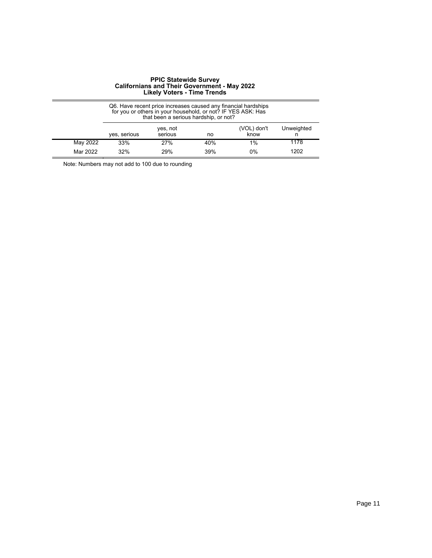|          | Q6. Have recent price increases caused any financial hardships<br>for you or others in your household, or not? IF YES ASK: Has<br>that been a serious hardship, or not? |     |     |       |      |  |  |
|----------|-------------------------------------------------------------------------------------------------------------------------------------------------------------------------|-----|-----|-------|------|--|--|
|          | Unweighted<br>(VOL) don't<br>yes, not<br>yes, serious<br>know<br>serious<br>no                                                                                          |     |     |       |      |  |  |
| May 2022 | 33%                                                                                                                                                                     | 27% | 40% | $1\%$ | 1178 |  |  |
| Mar 2022 | 1202<br>39%<br>32%<br>29%<br>0%                                                                                                                                         |     |     |       |      |  |  |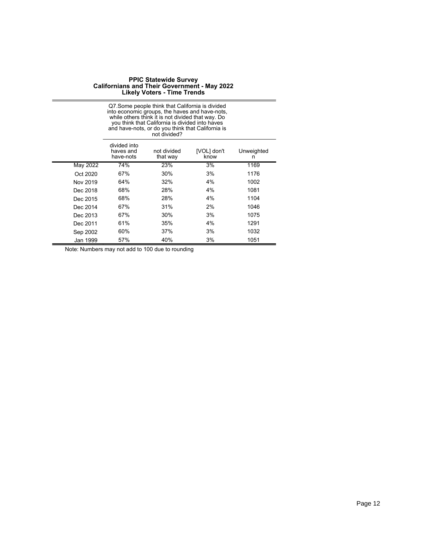|          | Q7. Some people think that California is divided<br>into economic groups, the haves and have-nots,<br>while others think it is not divided that way. Do<br>you think that California is divided into haves<br>and have-nots, or do you think that California is<br>not divided? |                         |                     |                 |  |  |
|----------|---------------------------------------------------------------------------------------------------------------------------------------------------------------------------------------------------------------------------------------------------------------------------------|-------------------------|---------------------|-----------------|--|--|
|          | divided into<br>haves and<br>have-nots                                                                                                                                                                                                                                          | not divided<br>that way | [VOL] don't<br>know | Unweighted<br>n |  |  |
| May 2022 | 74%                                                                                                                                                                                                                                                                             | 23%                     | 3%                  | 1169            |  |  |
| Oct 2020 | 67%                                                                                                                                                                                                                                                                             | 30%                     | 3%                  | 1176            |  |  |
| Nov 2019 | 64%                                                                                                                                                                                                                                                                             | 32%                     | 4%                  | 1002            |  |  |
| Dec 2018 | 68%                                                                                                                                                                                                                                                                             | 28%                     | 4%                  | 1081            |  |  |
| Dec 2015 | 68%                                                                                                                                                                                                                                                                             | 28%                     | 4%                  | 1104            |  |  |
| Dec 2014 | 67%                                                                                                                                                                                                                                                                             | 31%                     | 2%                  | 1046            |  |  |
| Dec 2013 | 67%                                                                                                                                                                                                                                                                             | 30%                     | 3%                  | 1075            |  |  |
| Dec 2011 | 61%                                                                                                                                                                                                                                                                             | 35%                     | 4%                  | 1291            |  |  |
| Sep 2002 | 60%                                                                                                                                                                                                                                                                             | 37%                     | 3%                  | 1032            |  |  |
| Jan 1999 | 57%                                                                                                                                                                                                                                                                             | 40%                     | 3%                  | 1051            |  |  |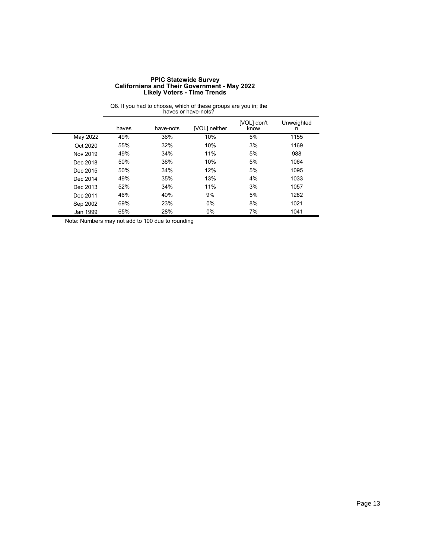| <b>PPIC Statewide Survey</b>                        |
|-----------------------------------------------------|
| <b>Californians and Their Government - May 2022</b> |
| <b>Likely Voters - Time Trends</b>                  |

|          | Q8. If you had to choose, which of these groups are you in; the<br>haves or have-nots? |           |               |                     |                 |  |
|----------|----------------------------------------------------------------------------------------|-----------|---------------|---------------------|-----------------|--|
|          | haves                                                                                  | have-nots | [VOL] neither | [VOL] don't<br>know | Unweighted<br>n |  |
| May 2022 | 49%                                                                                    | 36%       | 10%           | 5%                  | 1155            |  |
| Oct 2020 | 55%                                                                                    | 32%       | 10%           | 3%                  | 1169            |  |
| Nov 2019 | 49%                                                                                    | 34%       | 11%           | 5%                  | 988             |  |
| Dec 2018 | 50%                                                                                    | 36%       | 10%           | 5%                  | 1064            |  |
| Dec 2015 | 50%                                                                                    | 34%       | 12%           | 5%                  | 1095            |  |
| Dec 2014 | 49%                                                                                    | 35%       | 13%           | 4%                  | 1033            |  |
| Dec 2013 | 52%                                                                                    | 34%       | 11%           | 3%                  | 1057            |  |
| Dec 2011 | 46%                                                                                    | 40%       | 9%            | 5%                  | 1282            |  |
| Sep 2002 | 69%                                                                                    | 23%       | 0%            | 8%                  | 1021            |  |
| Jan 1999 | 65%                                                                                    | 28%       | $0\%$         | 7%                  | 1041            |  |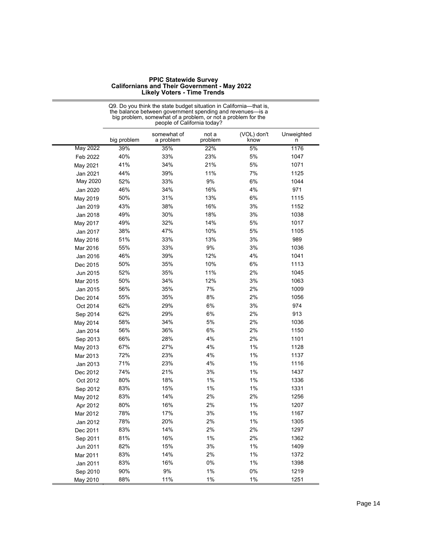| <b>PPIC Statewide Survey</b>                        |
|-----------------------------------------------------|
| <b>Californians and Their Government - May 2022</b> |
| <b>Likely Voters - Time Trends</b>                  |

|          | people of California today? |                          |                  |                     |                 |
|----------|-----------------------------|--------------------------|------------------|---------------------|-----------------|
|          | big problem                 | somewhat of<br>a problem | not a<br>problem | (VOL) don't<br>know | Unweighted<br>n |
| May 2022 | 39%                         | 35%                      | 22%              | 5%                  | 1176            |
| Feb 2022 | 40%                         | 33%                      | 23%              | 5%                  | 1047            |
| May 2021 | 41%                         | 34%                      | 21%              | 5%                  | 1071            |
| Jan 2021 | 44%                         | 39%                      | 11%              | 7%                  | 1125            |
| May 2020 | 52%                         | 33%                      | 9%               | 6%                  | 1044            |
| Jan 2020 | 46%                         | 34%                      | 16%              | 4%                  | 971             |
| May 2019 | 50%                         | 31%                      | 13%              | 6%                  | 1115            |
| Jan 2019 | 43%                         | 38%                      | 16%              | 3%                  | 1152            |
| Jan 2018 | 49%                         | 30%                      | 18%              | 3%                  | 1038            |
| May 2017 | 49%                         | 32%                      | 14%              | 5%                  | 1017            |
| Jan 2017 | 38%                         | 47%                      | 10%              | 5%                  | 1105            |
| May 2016 | 51%                         | 33%                      | 13%              | 3%                  | 989             |
| Mar 2016 | 55%                         | 33%                      | 9%               | 3%                  | 1036            |
| Jan 2016 | 46%                         | 39%                      | 12%              | 4%                  | 1041            |
| Dec 2015 | 50%                         | 35%                      | 10%              | 6%                  | 1113            |
| Jun 2015 | 52%                         | 35%                      | 11%              | 2%                  | 1045            |
| Mar 2015 | 50%                         | 34%                      | 12%              | 3%                  | 1063            |
| Jan 2015 | 56%                         | 35%                      | 7%               | 2%                  | 1009            |
| Dec 2014 | 55%                         | 35%                      | 8%               | 2%                  | 1056            |
| Oct 2014 | 62%                         | 29%                      | 6%               | 3%                  | 974             |
| Sep 2014 | 62%                         | 29%                      | 6%               | 2%                  | 913             |
| May 2014 | 58%                         | 34%                      | 5%               | 2%                  | 1036            |
| Jan 2014 | 56%                         | 36%                      | 6%               | 2%                  | 1150            |
| Sep 2013 | 66%                         | 28%                      | 4%               | 2%                  | 1101            |
| May 2013 | 67%                         | 27%                      | 4%               | 1%                  | 1128            |
| Mar 2013 | 72%                         | 23%                      | 4%               | 1%                  | 1137            |
| Jan 2013 | 71%                         | 23%                      | 4%               | 1%                  | 1116            |
| Dec 2012 | 74%                         | 21%                      | 3%               | 1%                  | 1437            |
| Oct 2012 | 80%                         | 18%                      | 1%               | 1%                  | 1336            |
| Sep 2012 | 83%                         | 15%                      | 1%               | 1%                  | 1331            |
| May 2012 | 83%                         | 14%                      | 2%               | 2%                  | 1256            |
| Apr 2012 | 80%                         | 16%                      | 2%               | 1%                  | 1207            |
| Mar 2012 | 78%                         | 17%                      | 3%               | 1%                  | 1167            |
| Jan 2012 | 78%                         | 20%                      | 2%               | 1%                  | 1305            |
| Dec 2011 | 83%                         | 14%                      | 2%               | 2%                  | 1297            |
| Sep 2011 | 81%                         | 16%                      | $1\%$            | 2%                  | 1362            |
| Jun 2011 | 82%                         | 15%                      | 3%               | 1%                  | 1409            |
| Mar 2011 | 83%                         | 14%                      | 2%               | 1%                  | 1372            |
| Jan 2011 | 83%                         | 16%                      | 0%               | 1%                  | 1398            |
| Sep 2010 | 90%                         | 9%                       | 1%               | 0%                  | 1219            |
| May 2010 | 88%                         | 11%                      | 1%               | 1%                  | 1251            |

Q9. Do you think the state budget situation in California—that is, the balance between government spending and revenues—is a big problem, somewhat of a problem, or not a problem for the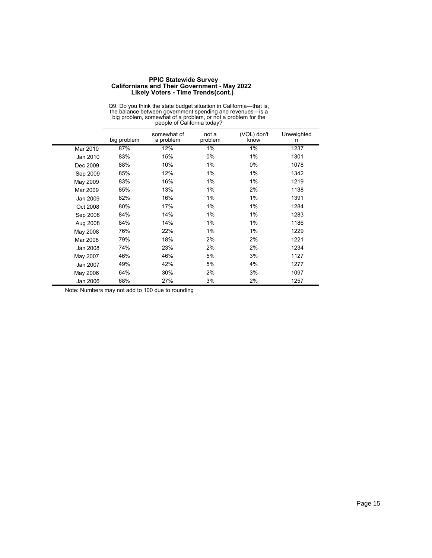|          | the balance between government spending and revenues—is a<br>big problem, somewhat of a problem, or not a problem for the<br>people of California today? |                          |                  |                     |                 |  |
|----------|----------------------------------------------------------------------------------------------------------------------------------------------------------|--------------------------|------------------|---------------------|-----------------|--|
|          | big problem                                                                                                                                              | somewhat of<br>a problem | not a<br>problem | (VOL) don't<br>know | Unweighted<br>n |  |
| Mar 2010 | 87%                                                                                                                                                      | 12%                      | 1%               | $1\%$               | 1237            |  |
| Jan 2010 | 83%                                                                                                                                                      | 15%                      | $0\%$            | $1\%$               | 1301            |  |
| Dec 2009 | 88%                                                                                                                                                      | 10%                      | 1%               | 0%                  | 1078            |  |
| Sep 2009 | 85%                                                                                                                                                      | 12%                      | 1%               | $1\%$               | 1342            |  |
| May 2009 | 83%                                                                                                                                                      | 16%                      | 1%               | 1%                  | 1219            |  |
| Mar 2009 | 85%                                                                                                                                                      | 13%                      | 1%               | 2%                  | 1138            |  |
| Jan 2009 | 82%                                                                                                                                                      | 16%                      | 1%               | $1\%$               | 1391            |  |
| Oct 2008 | 80%                                                                                                                                                      | 17%                      | 1%               | $1\%$               | 1284            |  |
| Sep 2008 | 84%                                                                                                                                                      | 14%                      | 1%               | 1%                  | 1283            |  |
| Aug 2008 | 84%                                                                                                                                                      | 14%                      | 1%               | $1\%$               | 1186            |  |
| May 2008 | 76%                                                                                                                                                      | 22%                      | 1%               | $1\%$               | 1229            |  |
| Mar 2008 | 79%                                                                                                                                                      | 18%                      | 2%               | 2%                  | 1221            |  |
| Jan 2008 | 74%                                                                                                                                                      | 23%                      | 2%               | 2%                  | 1234            |  |
| May 2007 | 46%                                                                                                                                                      | 46%                      | 5%               | 3%                  | 1127            |  |
| Jan 2007 | 49%                                                                                                                                                      | 42%                      | 5%               | 4%                  | 1277            |  |
| May 2006 | 64%                                                                                                                                                      | 30%                      | 2%               | 3%                  | 1097            |  |
| Jan 2006 | 68%                                                                                                                                                      | 27%                      | 3%               | 2%                  | 1257            |  |

Q9. Do you think the state budget situation in California—that is, the balance between government spending and revenues—is a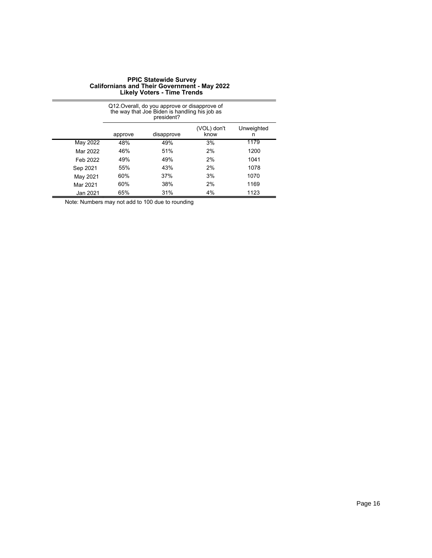|          | Q12. Overall, do you approve or disapprove of<br>the way that Joe Biden is handling his job as<br>president? |            |                     |                 |  |  |
|----------|--------------------------------------------------------------------------------------------------------------|------------|---------------------|-----------------|--|--|
|          | approve                                                                                                      | disapprove | (VOL) don't<br>know | Unweighted<br>n |  |  |
| May 2022 | 48%                                                                                                          | 49%        | 3%                  | 1179            |  |  |
| Mar 2022 | 46%                                                                                                          | 51%        | 2%                  | 1200            |  |  |
| Feb 2022 | 49%                                                                                                          | 49%        | 2%                  | 1041            |  |  |
| Sep 2021 | 55%                                                                                                          | 43%        | 2%                  | 1078            |  |  |
| May 2021 | 60%                                                                                                          | 37%        | 3%                  | 1070            |  |  |
| Mar 2021 | 60%                                                                                                          | 38%        | 2%                  | 1169            |  |  |
| Jan 2021 | 65%                                                                                                          | 31%        | 4%                  | 1123            |  |  |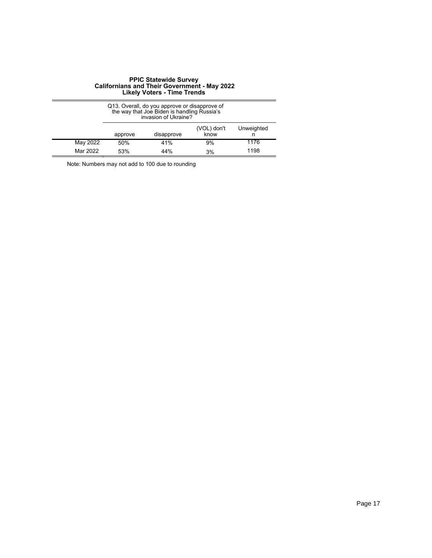|          | Q13. Overall, do you approve or disapprove of<br>the way that Joe Biden is handling Russia's<br>invasion of Ukraine? |     |    |      |  |  |
|----------|----------------------------------------------------------------------------------------------------------------------|-----|----|------|--|--|
|          | Unweighted<br>(VOL) don't<br>disapprove<br>know<br>approve                                                           |     |    |      |  |  |
| May 2022 | 50%                                                                                                                  | 41% | 9% | 1176 |  |  |
| Mar 2022 | 1198<br>44%<br>53%<br>3%                                                                                             |     |    |      |  |  |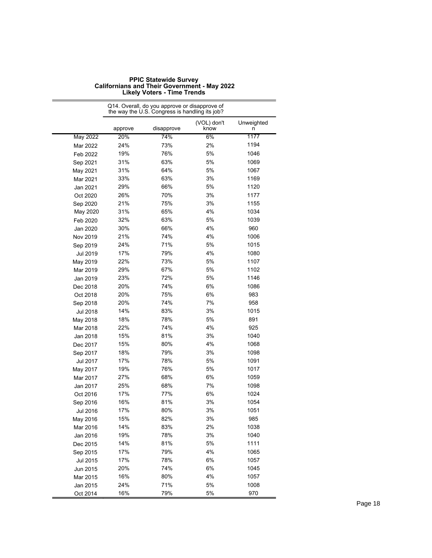|                      | Q14. Overall, do you approve or disapprove of<br>the way the U.S. Congress is handling its job? |            |                     |                 |  |
|----------------------|-------------------------------------------------------------------------------------------------|------------|---------------------|-----------------|--|
|                      | approve                                                                                         | disapprove | (VOL) don't<br>know | Unweighted<br>n |  |
| <b>May 2022</b>      | 20%                                                                                             | 74%        | 6%                  | 1177            |  |
| Mar 2022             | 24%                                                                                             | 73%        | 2%                  | 1194            |  |
| Feb 2022             | 19%                                                                                             | 76%        | 5%                  | 1046            |  |
| Sep 2021             | 31%                                                                                             | 63%        | 5%                  | 1069            |  |
| May 2021             | 31%                                                                                             | 64%        | 5%                  | 1067            |  |
| Mar 2021             | 33%                                                                                             | 63%        | 3%                  | 1169            |  |
| Jan 2021             | 29%                                                                                             | 66%        | 5%                  | 1120            |  |
| Oct 2020             | 26%                                                                                             | 70%        | 3%                  | 1177            |  |
| Sep 2020             | 21%                                                                                             | 75%        | 3%                  | 1155            |  |
| May 2020             | 31%                                                                                             | 65%        | 4%                  | 1034            |  |
| Feb 2020             | 32%                                                                                             | 63%        | 5%                  | 1039            |  |
| Jan 2020             | 30%                                                                                             | 66%        | 4%                  | 960             |  |
| Nov 2019             | 21%                                                                                             | 74%        | 4%                  | 1006            |  |
| Sep 2019             | 24%                                                                                             | 71%        | 5%                  | 1015            |  |
| Jul 2019             | 17%                                                                                             | 79%        | 4%                  | 1080            |  |
| May 2019             | 22%                                                                                             | 73%        | 5%                  | 1107            |  |
| Mar 2019             | 29%                                                                                             | 67%        | 5%                  | 1102            |  |
| Jan 2019             | 23%                                                                                             | 72%        | 5%                  | 1146            |  |
| Dec 2018             | 20%                                                                                             | 74%        | 6%                  | 1086            |  |
| Oct 2018             | 20%                                                                                             | 75%        | 6%                  | 983             |  |
| Sep 2018             | 20%                                                                                             | 74%        | 7%                  | 958             |  |
| Jul 2018             | 14%                                                                                             | 83%        | 3%                  | 1015            |  |
| May 2018             | 18%                                                                                             | 78%        | 5%                  | 891             |  |
| Mar 2018             | 22%                                                                                             | 74%        | 4%                  | 925             |  |
| Jan 2018             | 15%                                                                                             | 81%        | 3%                  | 1040            |  |
| Dec 2017             | 15%                                                                                             | 80%        | 4%                  | 1068            |  |
| Sep 2017             | 18%                                                                                             | 79%        | 3%                  | 1098            |  |
| Jul 2017             | 17%                                                                                             | 78%        | 5%                  | 1091            |  |
| May 2017             | 19%                                                                                             | 76%        | 5%                  | 1017            |  |
| Mar 2017             | 27%                                                                                             | 68%        | 6%                  | 1059            |  |
| Jan 2017             | 25%                                                                                             | 68%        | 7%                  | 1098            |  |
| Oct 2016             | 17%                                                                                             | 77%        | 6%                  | 1024            |  |
| Sep 2016             | 16%                                                                                             | 81%        | 3%                  | 1054            |  |
| Jul 2016             | 17%                                                                                             | 80%        | 3%                  | 1051            |  |
| May 2016             | 15%                                                                                             | 82%        | 3%                  | 985             |  |
| Mar 2016             | 14%                                                                                             | 83%        | 2%                  | 1038            |  |
|                      | 19%                                                                                             | 78%        | 3%                  | 1040            |  |
| Jan 2016<br>Dec 2015 | 14%                                                                                             | 81%        | 5%                  | 1111            |  |
| Sep 2015             | 17%                                                                                             | 79%        | 4%                  | 1065            |  |
|                      | 17%                                                                                             | 78%        | 6%                  | 1057            |  |
| Jul 2015             |                                                                                                 | 74%        | 6%                  | 1045            |  |
| Jun 2015             | 20%<br>16%                                                                                      | 80%        | 4%                  |                 |  |
| Mar 2015             | 24%                                                                                             | 71%        | 5%                  | 1057<br>1008    |  |
| Jan 2015<br>Oct 2014 | 16%                                                                                             | 79%        | 5%                  | 970             |  |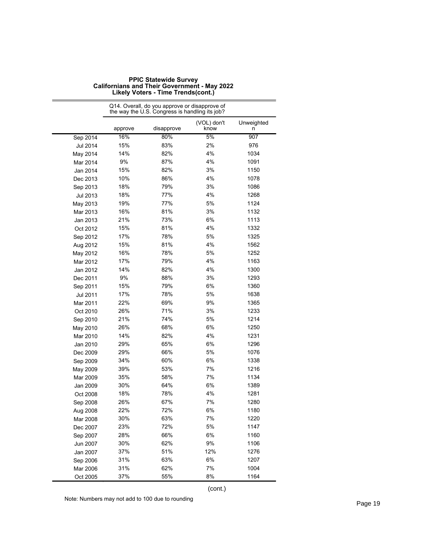|          | Q14. Overall, do you approve or disapprove of<br>the way the U.S. Congress is handling its job? |            |                     |                 |  |
|----------|-------------------------------------------------------------------------------------------------|------------|---------------------|-----------------|--|
|          | approve                                                                                         | disapprove | (VOL) don't<br>know | Unweighted<br>n |  |
| Sep 2014 | 16%                                                                                             | 80%        | 5%                  | 907             |  |
| Jul 2014 | 15%                                                                                             | 83%        | 2%                  | 976             |  |
| May 2014 | 14%                                                                                             | 82%        | 4%                  | 1034            |  |
| Mar 2014 | 9%                                                                                              | 87%        | 4%                  | 1091            |  |
| Jan 2014 | 15%                                                                                             | 82%        | 3%                  | 1150            |  |
| Dec 2013 | 10%                                                                                             | 86%        | 4%                  | 1078            |  |
| Sep 2013 | 18%                                                                                             | 79%        | 3%                  | 1086            |  |
| Jul 2013 | 18%                                                                                             | 77%        | 4%                  | 1268            |  |
| May 2013 | 19%                                                                                             | 77%        | 5%                  | 1124            |  |
| Mar 2013 | 16%                                                                                             | 81%        | 3%                  | 1132            |  |
| Jan 2013 | 21%                                                                                             | 73%        | 6%                  | 1113            |  |
| Oct 2012 | 15%                                                                                             | 81%        | 4%                  | 1332            |  |
| Sep 2012 | 17%                                                                                             | 78%        | 5%                  | 1325            |  |
| Aug 2012 | 15%                                                                                             | 81%        | 4%                  | 1562            |  |
| May 2012 | 16%                                                                                             | 78%        | 5%                  | 1252            |  |
| Mar 2012 | 17%                                                                                             | 79%        | 4%                  | 1163            |  |
| Jan 2012 | 14%                                                                                             | 82%        | 4%                  | 1300            |  |
| Dec 2011 | 9%                                                                                              | 88%        | 3%                  | 1293            |  |
| Sep 2011 | 15%                                                                                             | 79%        | 6%                  | 1360            |  |
| Jul 2011 | 17%                                                                                             | 78%        | 5%                  | 1638            |  |
| Mar 2011 | 22%                                                                                             | 69%        | 9%                  | 1365            |  |
| Oct 2010 | 26%                                                                                             | 71%        | 3%                  | 1233            |  |
| Sep 2010 | 21%                                                                                             | 74%        | 5%                  | 1214            |  |
| May 2010 | 26%                                                                                             | 68%        | 6%                  | 1250            |  |
| Mar 2010 | 14%                                                                                             | 82%        | 4%                  | 1231            |  |
| Jan 2010 | 29%                                                                                             | 65%        | 6%                  | 1296            |  |
| Dec 2009 | 29%                                                                                             | 66%        | 5%                  | 1076            |  |
| Sep 2009 | 34%                                                                                             | 60%        | 6%                  | 1338            |  |
| May 2009 | 39%                                                                                             | 53%        | 7%                  | 1216            |  |
| Mar 2009 | 35%                                                                                             | 58%        | 7%                  | 1134            |  |
| Jan 2009 | 30%                                                                                             | 64%        | 6%                  | 1389            |  |
| Oct 2008 | 18%                                                                                             | 78%        | 4%                  | 1281            |  |
| Sep 2008 | 26%                                                                                             | 67%        | 7%                  | 1280            |  |
| Aug 2008 | 22%                                                                                             | 72%        | 6%                  | 1180            |  |
| Mar 2008 | 30%                                                                                             | 63%        | 7%                  | 1220            |  |
| Dec 2007 | 23%                                                                                             | 72%        | 5%                  | 1147            |  |
| Sep 2007 | 28%                                                                                             | 66%        | 6%                  | 1160            |  |
| Jun 2007 | 30%                                                                                             | 62%        | 9%                  | 1106            |  |
| Jan 2007 | 37%                                                                                             | 51%        | 12%                 | 1276            |  |
| Sep 2006 | 31%                                                                                             | 63%        | 6%                  | 1207            |  |
| Mar 2006 | 31%                                                                                             | 62%        | 7%                  | 1004            |  |
| Oct 2005 | 37%                                                                                             | 55%        | 8%                  | 1164            |  |

(cont.)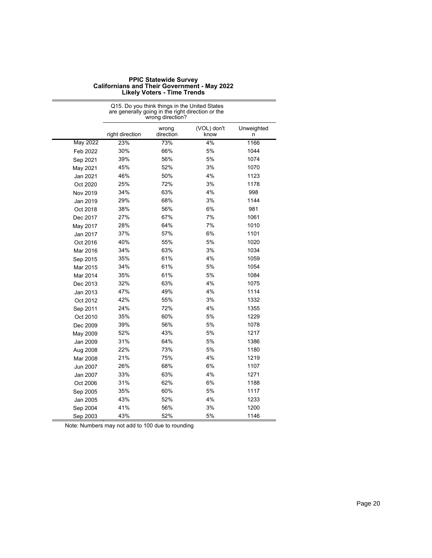|          | Q15. Do you think things in the United States<br>are generally going in the right direction or the<br>wrong direction? |                    |                     |                 |  |
|----------|------------------------------------------------------------------------------------------------------------------------|--------------------|---------------------|-----------------|--|
|          | right direction                                                                                                        | wrong<br>direction | (VOL) don't<br>know | Unweighted<br>n |  |
| May 2022 | 23%                                                                                                                    | 73%                | 4%                  | 1166            |  |
| Feb 2022 | 30%                                                                                                                    | 66%                | 5%                  | 1044            |  |
| Sep 2021 | 39%                                                                                                                    | 56%                | 5%                  | 1074            |  |
| May 2021 | 45%                                                                                                                    | 52%                | 3%                  | 1070            |  |
| Jan 2021 | 46%                                                                                                                    | 50%                | 4%                  | 1123            |  |
| Oct 2020 | 25%                                                                                                                    | 72%                | 3%                  | 1178            |  |
| Nov 2019 | 34%                                                                                                                    | 63%                | 4%                  | 998             |  |
| Jan 2019 | 29%                                                                                                                    | 68%                | 3%                  | 1144            |  |
| Oct 2018 | 38%                                                                                                                    | 56%                | 6%                  | 981             |  |
| Dec 2017 | 27%                                                                                                                    | 67%                | 7%                  | 1061            |  |
| May 2017 | 28%                                                                                                                    | 64%                | 7%                  | 1010            |  |
| Jan 2017 | 37%                                                                                                                    | 57%                | 6%                  | 1101            |  |
| Oct 2016 | 40%                                                                                                                    | 55%                | 5%                  | 1020            |  |
| Mar 2016 | 34%                                                                                                                    | 63%                | 3%                  | 1034            |  |
| Sep 2015 | 35%                                                                                                                    | 61%                | 4%                  | 1059            |  |
| Mar 2015 | 34%                                                                                                                    | 61%                | 5%                  | 1054            |  |
| Mar 2014 | 35%                                                                                                                    | 61%                | 5%                  | 1084            |  |
| Dec 2013 | 32%                                                                                                                    | 63%                | 4%                  | 1075            |  |
| Jan 2013 | 47%                                                                                                                    | 49%                | 4%                  | 1114            |  |
| Oct 2012 | 42%                                                                                                                    | 55%                | 3%                  | 1332            |  |
| Sep 2011 | 24%                                                                                                                    | 72%                | 4%                  | 1355            |  |
| Oct 2010 | 35%                                                                                                                    | 60%                | 5%                  | 1229            |  |
| Dec 2009 | 39%                                                                                                                    | 56%                | 5%                  | 1078            |  |
| May 2009 | 52%                                                                                                                    | 43%                | 5%                  | 1217            |  |
| Jan 2009 | 31%                                                                                                                    | 64%                | 5%                  | 1386            |  |
| Aug 2008 | 22%                                                                                                                    | 73%                | 5%                  | 1180            |  |
| Mar 2008 | 21%                                                                                                                    | 75%                | 4%                  | 1219            |  |
| Jun 2007 | 26%                                                                                                                    | 68%                | 6%                  | 1107            |  |
| Jan 2007 | 33%                                                                                                                    | 63%                | 4%                  | 1271            |  |
| Oct 2006 | 31%                                                                                                                    | 62%                | 6%                  | 1188            |  |
| Sep 2005 | 35%                                                                                                                    | 60%                | 5%                  | 1117            |  |
| Jan 2005 | 43%                                                                                                                    | 52%                | 4%                  | 1233            |  |
| Sep 2004 | 41%                                                                                                                    | 56%                | 3%                  | 1200            |  |
| Sep 2003 | 43%                                                                                                                    | 52%                | 5%                  | 1146            |  |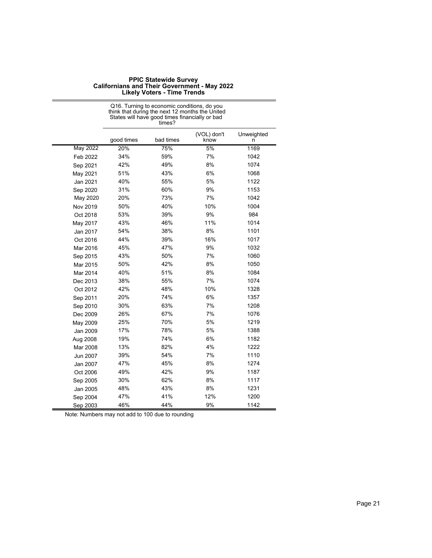|                 | States will have good times financially or bad<br>times? |           |                     |                 |  |
|-----------------|----------------------------------------------------------|-----------|---------------------|-----------------|--|
|                 | good times                                               | bad times | (VOL) don't<br>know | Unweighted<br>n |  |
| <b>May 2022</b> | 20%                                                      | 75%       | 5%                  | 1169            |  |
| Feb 2022        | 34%                                                      | 59%       | 7%                  | 1042            |  |
| Sep 2021        | 42%                                                      | 49%       | 8%                  | 1074            |  |
| May 2021        | 51%                                                      | 43%       | 6%                  | 1068            |  |
| Jan 2021        | 40%                                                      | 55%       | 5%                  | 1122            |  |
| Sep 2020        | 31%                                                      | 60%       | 9%                  | 1153            |  |
| May 2020        | 20%                                                      | 73%       | 7%                  | 1042            |  |
| Nov 2019        | 50%                                                      | 40%       | 10%                 | 1004            |  |
| Oct 2018        | 53%                                                      | 39%       | 9%                  | 984             |  |
| May 2017        | 43%                                                      | 46%       | 11%                 | 1014            |  |
| Jan 2017        | 54%                                                      | 38%       | 8%                  | 1101            |  |
| Oct 2016        | 44%                                                      | 39%       | 16%                 | 1017            |  |
| Mar 2016        | 45%                                                      | 47%       | 9%                  | 1032            |  |
| Sep 2015        | 43%                                                      | 50%       | 7%                  | 1060            |  |
| Mar 2015        | 50%                                                      | 42%       | 8%                  | 1050            |  |
| Mar 2014        | 40%                                                      | 51%       | 8%                  | 1084            |  |
| Dec 2013        | 38%                                                      | 55%       | 7%                  | 1074            |  |
| Oct 2012        | 42%                                                      | 48%       | 10%                 | 1328            |  |
| Sep 2011        | 20%                                                      | 74%       | 6%                  | 1357            |  |
| Sep 2010        | 30%                                                      | 63%       | 7%                  | 1208            |  |
| Dec 2009        | 26%                                                      | 67%       | 7%                  | 1076            |  |
| May 2009        | 25%                                                      | 70%       | 5%                  | 1219            |  |
| Jan 2009        | 17%                                                      | 78%       | 5%                  | 1388            |  |
| Aug 2008        | 19%                                                      | 74%       | 6%                  | 1182            |  |
| Mar 2008        | 13%                                                      | 82%       | 4%                  | 1222            |  |
| Jun 2007        | 39%                                                      | 54%       | 7%                  | 1110            |  |
| Jan 2007        | 47%                                                      | 45%       | 8%                  | 1274            |  |
| Oct 2006        | 49%                                                      | 42%       | 9%                  | 1187            |  |
| Sep 2005        | 30%                                                      | 62%       | 8%                  | 1117            |  |
| Jan 2005        | 48%                                                      | 43%       | 8%                  | 1231            |  |
| Sep 2004        | 47%                                                      | 41%       | 12%                 | 1200            |  |
| Sep 2003        | 46%                                                      | 44%       | 9%                  | 1142            |  |

Q16. Turning to economic conditions, do you think that during the next 12 months the United States will have good times financially or bad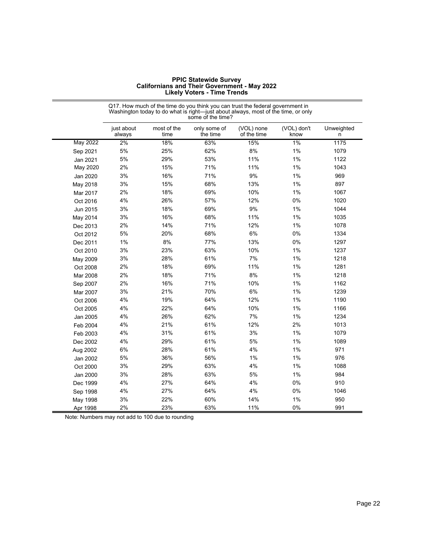| <b>PPIC Statewide Survey</b>                        |
|-----------------------------------------------------|
| <b>Californians and Their Government - May 2022</b> |
| <b>Likely Voters - Time Trends</b>                  |

|                 | some of the time?    |                     |                          |                           |                     |                 |
|-----------------|----------------------|---------------------|--------------------------|---------------------------|---------------------|-----------------|
|                 | just about<br>always | most of the<br>time | only some of<br>the time | (VOL) none<br>of the time | (VOL) don't<br>know | Unweighted<br>n |
| <b>May 2022</b> | 2%                   | 18%                 | 63%                      | 15%                       | $1\%$               | 1175            |
| Sep 2021        | 5%                   | 25%                 | 62%                      | 8%                        | 1%                  | 1079            |
| Jan 2021        | 5%                   | 29%                 | 53%                      | 11%                       | 1%                  | 1122            |
| May 2020        | 2%                   | 15%                 | 71%                      | 11%                       | 1%                  | 1043            |
| Jan 2020        | 3%                   | 16%                 | 71%                      | 9%                        | 1%                  | 969             |
| May 2018        | 3%                   | 15%                 | 68%                      | 13%                       | 1%                  | 897             |
| Mar 2017        | 2%                   | 18%                 | 69%                      | 10%                       | 1%                  | 1067            |
| Oct 2016        | 4%                   | 26%                 | 57%                      | 12%                       | 0%                  | 1020            |
| Jun 2015        | 3%                   | 18%                 | 69%                      | $9\%$                     | 1%                  | 1044            |
| May 2014        | 3%                   | 16%                 | 68%                      | 11%                       | 1%                  | 1035            |
| Dec 2013        | 2%                   | 14%                 | 71%                      | 12%                       | 1%                  | 1078            |
| Oct 2012        | 5%                   | 20%                 | 68%                      | 6%                        | 0%                  | 1334            |
| Dec 2011        | $1\%$                | $8%$                | 77%                      | 13%                       | 0%                  | 1297            |
| Oct 2010        | 3%                   | 23%                 | 63%                      | 10%                       | 1%                  | 1237            |
| May 2009        | 3%                   | 28%                 | 61%                      | 7%                        | 1%                  | 1218            |
| Oct 2008        | 2%                   | 18%                 | 69%                      | 11%                       | 1%                  | 1281            |
| Mar 2008        | 2%                   | 18%                 | 71%                      | 8%                        | 1%                  | 1218            |
| Sep 2007        | 2%                   | 16%                 | 71%                      | 10%                       | 1%                  | 1162            |
| Mar 2007        | 3%                   | 21%                 | 70%                      | 6%                        | 1%                  | 1239            |
| Oct 2006        | 4%                   | 19%                 | 64%                      | 12%                       | 1%                  | 1190            |
| Oct 2005        | 4%                   | 22%                 | 64%                      | 10%                       | 1%                  | 1166            |
| Jan 2005        | 4%                   | 26%                 | 62%                      | 7%                        | 1%                  | 1234            |
| Feb 2004        | 4%                   | 21%                 | 61%                      | 12%                       | 2%                  | 1013            |
| Feb 2003        | 4%                   | 31%                 | 61%                      | 3%                        | 1%                  | 1079            |
| Dec 2002        | 4%                   | 29%                 | 61%                      | 5%                        | $1\%$               | 1089            |
| Aug 2002        | 6%                   | 28%                 | 61%                      | 4%                        | 1%                  | 971             |
| Jan 2002        | 5%                   | 36%                 | 56%                      | 1%                        | 1%                  | 976             |
| Oct 2000        | 3%                   | 29%                 | 63%                      | 4%                        | 1%                  | 1088            |
| Jan 2000        | 3%                   | 28%                 | 63%                      | 5%                        | 1%                  | 984             |
| Dec 1999        | 4%                   | 27%                 | 64%                      | 4%                        | 0%                  | 910             |
| Sep 1998        | 4%                   | 27%                 | 64%                      | 4%                        | 0%                  | 1046            |
| May 1998        | 3%                   | 22%                 | 60%                      | 14%                       | 1%                  | 950             |
| Apr 1998        | 2%                   | 23%                 | 63%                      | 11%                       | 0%                  | 991             |

Q17. How much of the time do you think you can trust the federal government in Washington today to do what is right—just about always, most of the time, or only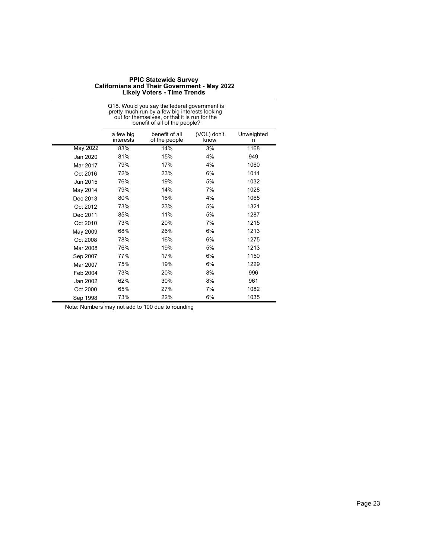Q18. Would you say the federal government is

|          | pretty much run by a few big interests looking<br>out for themselves, or that it is run for the<br>benefit of all of the people? |                                 |                     |                 |  |
|----------|----------------------------------------------------------------------------------------------------------------------------------|---------------------------------|---------------------|-----------------|--|
|          | a few big<br>interests                                                                                                           | benefit of all<br>of the people | (VOL) don't<br>know | Unweighted<br>n |  |
| May 2022 | 83%                                                                                                                              | 14%                             | 3%                  | 1168            |  |
| Jan 2020 | 81%                                                                                                                              | 15%                             | 4%                  | 949             |  |
| Mar 2017 | 79%                                                                                                                              | 17%                             | 4%                  | 1060            |  |
| Oct 2016 | 72%                                                                                                                              | 23%                             | 6%                  | 1011            |  |
| Jun 2015 | 76%                                                                                                                              | 19%                             | 5%                  | 1032            |  |
| May 2014 | 79%                                                                                                                              | 14%                             | 7%                  | 1028            |  |
| Dec 2013 | 80%                                                                                                                              | 16%                             | 4%                  | 1065            |  |
| Oct 2012 | 73%                                                                                                                              | 23%                             | 5%                  | 1321            |  |
| Dec 2011 | 85%                                                                                                                              | 11%                             | 5%                  | 1287            |  |
| Oct 2010 | 73%                                                                                                                              | 20%                             | 7%                  | 1215            |  |
| May 2009 | 68%                                                                                                                              | 26%                             | 6%                  | 1213            |  |
| Oct 2008 | 78%                                                                                                                              | 16%                             | 6%                  | 1275            |  |
| Mar 2008 | 76%                                                                                                                              | 19%                             | 5%                  | 1213            |  |
| Sep 2007 | 77%                                                                                                                              | 17%                             | 6%                  | 1150            |  |
| Mar 2007 | 75%                                                                                                                              | 19%                             | 6%                  | 1229            |  |
| Feb 2004 | 73%                                                                                                                              | 20%                             | 8%                  | 996             |  |
| Jan 2002 | 62%                                                                                                                              | 30%                             | 8%                  | 961             |  |
| Oct 2000 | 65%                                                                                                                              | 27%                             | 7%                  | 1082            |  |
| Sep 1998 | 73%                                                                                                                              | 22%                             | 6%                  | 1035            |  |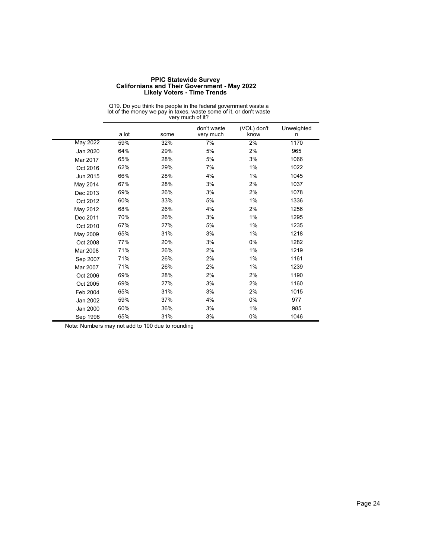| <b>PPIC Statewide Survey</b>                        |
|-----------------------------------------------------|
| <b>Californians and Their Government - May 2022</b> |
| <b>Likely Voters - Time Trends</b>                  |

|          | lot of the money we pay in taxes, waste some of it, or don't waste<br>very much of it? |      |                          |                     |                 |  |
|----------|----------------------------------------------------------------------------------------|------|--------------------------|---------------------|-----------------|--|
|          | a lot                                                                                  | some | don't waste<br>very much | (VOL) don't<br>know | Unweighted<br>n |  |
| May 2022 | 59%                                                                                    | 32%  | 7%                       | 2%                  | 1170            |  |
| Jan 2020 | 64%                                                                                    | 29%  | 5%                       | 2%                  | 965             |  |
| Mar 2017 | 65%                                                                                    | 28%  | 5%                       | 3%                  | 1066            |  |
| Oct 2016 | 62%                                                                                    | 29%  | 7%                       | 1%                  | 1022            |  |
| Jun 2015 | 66%                                                                                    | 28%  | 4%                       | 1%                  | 1045            |  |
| May 2014 | 67%                                                                                    | 28%  | 3%                       | 2%                  | 1037            |  |
| Dec 2013 | 69%                                                                                    | 26%  | 3%                       | 2%                  | 1078            |  |
| Oct 2012 | 60%                                                                                    | 33%  | 5%                       | 1%                  | 1336            |  |
| May 2012 | 68%                                                                                    | 26%  | 4%                       | 2%                  | 1256            |  |
| Dec 2011 | 70%                                                                                    | 26%  | 3%                       | 1%                  | 1295            |  |
| Oct 2010 | 67%                                                                                    | 27%  | 5%                       | 1%                  | 1235            |  |
| May 2009 | 65%                                                                                    | 31%  | 3%                       | 1%                  | 1218            |  |
| Oct 2008 | 77%                                                                                    | 20%  | 3%                       | 0%                  | 1282            |  |
| Mar 2008 | 71%                                                                                    | 26%  | 2%                       | 1%                  | 1219            |  |
| Sep 2007 | 71%                                                                                    | 26%  | 2%                       | 1%                  | 1161            |  |
| Mar 2007 | 71%                                                                                    | 26%  | 2%                       | 1%                  | 1239            |  |
| Oct 2006 | 69%                                                                                    | 28%  | 2%                       | 2%                  | 1190            |  |
| Oct 2005 | 69%                                                                                    | 27%  | 3%                       | 2%                  | 1160            |  |
| Feb 2004 | 65%                                                                                    | 31%  | 3%                       | 2%                  | 1015            |  |
| Jan 2002 | 59%                                                                                    | 37%  | 4%                       | 0%                  | 977             |  |
| Jan 2000 | 60%                                                                                    | 36%  | 3%                       | 1%                  | 985             |  |
| Sep 1998 | 65%                                                                                    | 31%  | 3%                       | 0%                  | 1046            |  |

# Q19. Do you think the people in the federal government waste a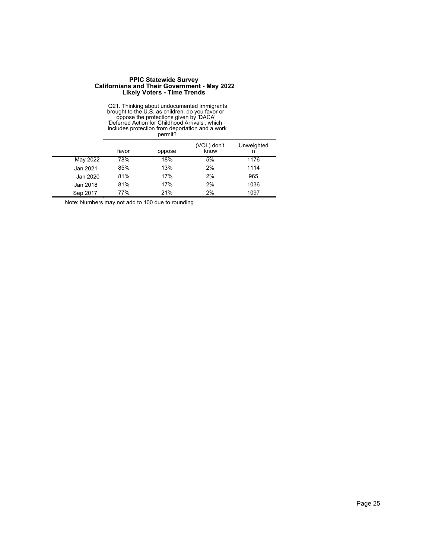|          | Q21. Thinking about undocumented immigrants<br>brought to the U.S. as children, do you favor or<br>oppose the protections given by 'DACA'<br>'Deferred Action for Childhood Arrivals', which<br>includes protection from deportation and a work<br>permit? |                                             |    |      |  |
|----------|------------------------------------------------------------------------------------------------------------------------------------------------------------------------------------------------------------------------------------------------------------|---------------------------------------------|----|------|--|
|          | favor                                                                                                                                                                                                                                                      | (VOL) don't<br>Unweighted<br>know<br>oppose |    |      |  |
| May 2022 | 78%                                                                                                                                                                                                                                                        | 18%                                         | 5% | 1176 |  |
| Jan 2021 | 85%                                                                                                                                                                                                                                                        | 13%                                         | 2% | 1114 |  |
| Jan 2020 | 81%                                                                                                                                                                                                                                                        | 17%                                         | 2% | 965  |  |
| Jan 2018 | 81%                                                                                                                                                                                                                                                        | 17%                                         | 2% | 1036 |  |
| Sep 2017 | 77%                                                                                                                                                                                                                                                        | 21%                                         | 2% | 1097 |  |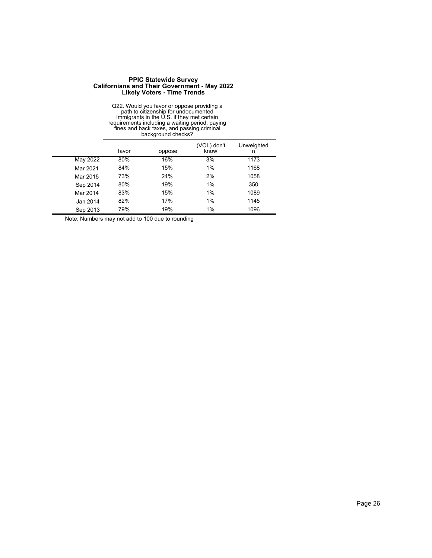|          | Q22. Would you favor or oppose providing a<br>path to citizenship for undocumented<br>immigrants in the U.S. if they met certain<br>requirements including a waiting period, paying<br>fines and back taxes, and passing criminal<br>background checks? |     |    |      |  |  |
|----------|---------------------------------------------------------------------------------------------------------------------------------------------------------------------------------------------------------------------------------------------------------|-----|----|------|--|--|
|          | (VOL) don't<br>Unweighted<br>favor<br>know<br>oppose<br>n                                                                                                                                                                                               |     |    |      |  |  |
| May 2022 | 80%                                                                                                                                                                                                                                                     | 16% | 3% | 1173 |  |  |
| Mar 2021 | 84%                                                                                                                                                                                                                                                     | 15% | 1% | 1168 |  |  |
| Mar 2015 | 73%                                                                                                                                                                                                                                                     | 24% | 2% | 1058 |  |  |
| Sep 2014 | 80%                                                                                                                                                                                                                                                     | 19% | 1% | 350  |  |  |
| Mar 2014 | 83%                                                                                                                                                                                                                                                     | 15% | 1% | 1089 |  |  |
| Jan 2014 | 82%                                                                                                                                                                                                                                                     | 17% | 1% | 1145 |  |  |
| Sep 2013 | 79%                                                                                                                                                                                                                                                     | 19% | 1% | 1096 |  |  |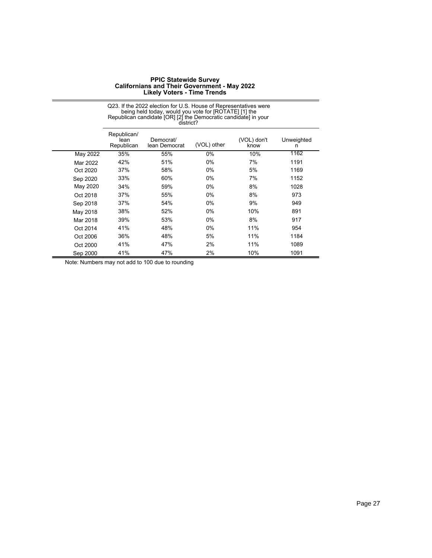Q23. If the 2022 election for U.S. House of Representatives were

|          |                                   | being held today, would you vote for [ROTATE] [1] the<br>Republican candidate [OR] [2] the Democratic candidate] in your<br>district? |             |                     |                 |  |  |  |
|----------|-----------------------------------|---------------------------------------------------------------------------------------------------------------------------------------|-------------|---------------------|-----------------|--|--|--|
|          | Republican/<br>lean<br>Republican | Democrat/<br>lean Democrat                                                                                                            | (VOL) other | (VOL) don't<br>know | Unweighted<br>n |  |  |  |
| May 2022 | 35%                               | 55%                                                                                                                                   | 0%          | 10%                 | 1162            |  |  |  |
| Mar 2022 | 42%                               | 51%                                                                                                                                   | 0%          | 7%                  | 1191            |  |  |  |
| Oct 2020 | 37%                               | 58%                                                                                                                                   | 0%          | 5%                  | 1169            |  |  |  |
| Sep 2020 | 33%                               | 60%                                                                                                                                   | 0%          | 7%                  | 1152            |  |  |  |
| May 2020 | 34%                               | 59%                                                                                                                                   | $0\%$       | 8%                  | 1028            |  |  |  |
| Oct 2018 | 37%                               | 55%                                                                                                                                   | 0%          | 8%                  | 973             |  |  |  |
| Sep 2018 | 37%                               | 54%                                                                                                                                   | 0%          | 9%                  | 949             |  |  |  |
| May 2018 | 38%                               | 52%                                                                                                                                   | 0%          | 10%                 | 891             |  |  |  |
| Mar 2018 | 39%                               | 53%                                                                                                                                   | 0%          | 8%                  | 917             |  |  |  |
| Oct 2014 | 41%                               | 48%                                                                                                                                   | 0%          | 11%                 | 954             |  |  |  |
| Oct 2006 | 36%                               | 48%                                                                                                                                   | 5%          | 11%                 | 1184            |  |  |  |
| Oct 2000 | 41%                               | 47%                                                                                                                                   | 2%          | 11%                 | 1089            |  |  |  |
| Sep 2000 | 41%                               | 47%                                                                                                                                   | 2%          | 10%                 | 1091            |  |  |  |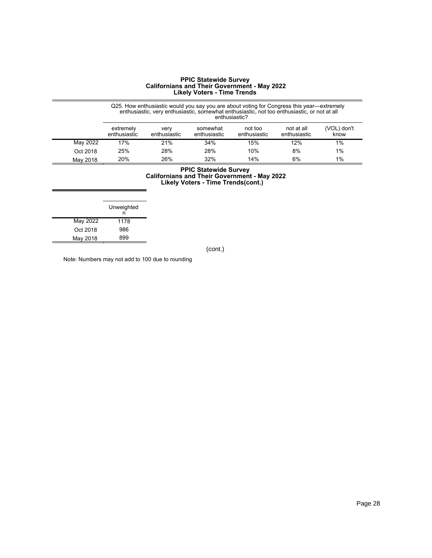|          | Q25. How enthusiastic would you say you are about voting for Congress this year—extremely enthusiastic, very enthusiastic, somewhat enthusiastic, not too enthusiastic, or not at all<br>enthusiastic? |                      |                          |                         |                            |                     |
|----------|--------------------------------------------------------------------------------------------------------------------------------------------------------------------------------------------------------|----------------------|--------------------------|-------------------------|----------------------------|---------------------|
|          | extremely<br>enthusiastic                                                                                                                                                                              | verv<br>enthusiastic | somewhat<br>enthusiastic | not too<br>enthusiastic | not at all<br>enthusiastic | (VOL) don't<br>know |
| May 2022 | 17%                                                                                                                                                                                                    | 21%                  | 34%                      | 15%                     | 12%                        | 1%                  |
| Oct 2018 | 25%                                                                                                                                                                                                    | 28%                  | 28%                      | 10%                     | 8%                         | $1\%$               |
| May 2018 | 20%                                                                                                                                                                                                    | 26%                  | 32%                      | 14%                     | 6%                         | $1\%$               |

#### **PPIC Statewide Survey Californians and Their Government - May 2022 Likely Voters - Time Trends(cont.)**

|          | Unweighted<br>n |
|----------|-----------------|
| May 2022 | 1178            |
| Oct 2018 | 986             |
| May 2018 | 899             |

(cont.)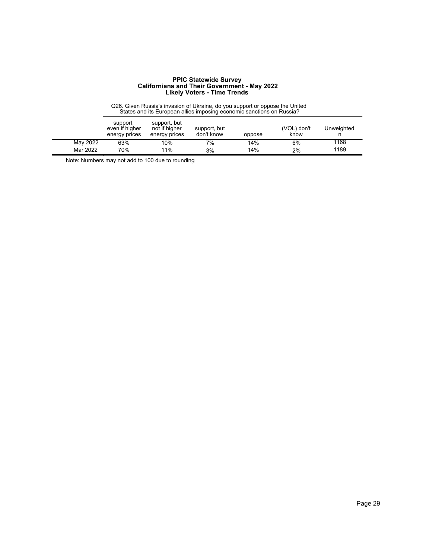|          | Q26. Given Russia's invasion of Ukraine, do you support or oppose the United<br>States and its European allies imposing economic sanctions on Russia? |                                                |                            |        |                     |            |  |
|----------|-------------------------------------------------------------------------------------------------------------------------------------------------------|------------------------------------------------|----------------------------|--------|---------------------|------------|--|
|          | support,<br>even if higher<br>energy prices                                                                                                           | support, but<br>not if higher<br>energy prices | support, but<br>don't know | oppose | (VOL) don't<br>know | Unweighted |  |
| May 2022 | 63%                                                                                                                                                   | 10%                                            | 7%                         | 14%    | 6%                  | 1168       |  |
| Mar 2022 | 70%                                                                                                                                                   | 11%                                            | 3%                         | 14%    | 2%                  | 1189       |  |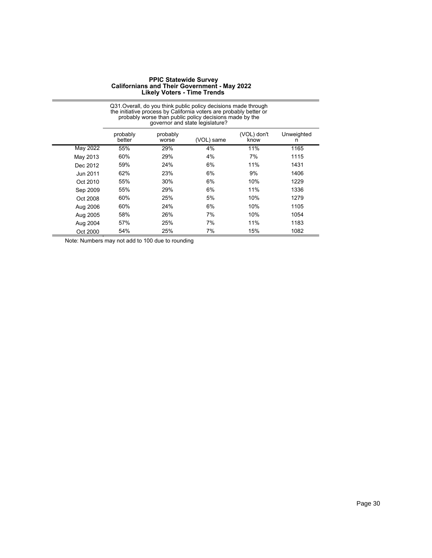|          | Q31. Overall, do you think public policy decisions made through<br>the initiative process by California voters are probably better or<br>probably worse than public policy decisions made by the<br>governor and state legislature? |                   |            |                     |                 |  |
|----------|-------------------------------------------------------------------------------------------------------------------------------------------------------------------------------------------------------------------------------------|-------------------|------------|---------------------|-----------------|--|
|          | probably<br>better                                                                                                                                                                                                                  | probably<br>worse | (VOL) same | (VOL) don't<br>know | Unweighted<br>n |  |
| May 2022 | 55%                                                                                                                                                                                                                                 | 29%               | 4%         | 11%                 | 1165            |  |
| May 2013 | 60%                                                                                                                                                                                                                                 | 29%               | 4%         | 7%                  | 1115            |  |
| Dec 2012 | 59%                                                                                                                                                                                                                                 | 24%               | 6%         | 11%                 | 1431            |  |
| Jun 2011 | 62%                                                                                                                                                                                                                                 | 23%               | 6%         | 9%                  | 1406            |  |
| Oct 2010 | 55%                                                                                                                                                                                                                                 | 30%               | 6%         | 10%                 | 1229            |  |
| Sep 2009 | 55%                                                                                                                                                                                                                                 | 29%               | 6%         | 11%                 | 1336            |  |
| Oct 2008 | 60%                                                                                                                                                                                                                                 | 25%               | 5%         | 10%                 | 1279            |  |
| Aug 2006 | 60%                                                                                                                                                                                                                                 | 24%               | 6%         | 10%                 | 1105            |  |
| Aug 2005 | 58%                                                                                                                                                                                                                                 | 26%               | 7%         | 10%                 | 1054            |  |
| Aug 2004 | 57%                                                                                                                                                                                                                                 | 25%               | 7%         | 11%                 | 1183            |  |
| Oct 2000 | 54%                                                                                                                                                                                                                                 | 25%               | 7%         | 15%                 | 1082            |  |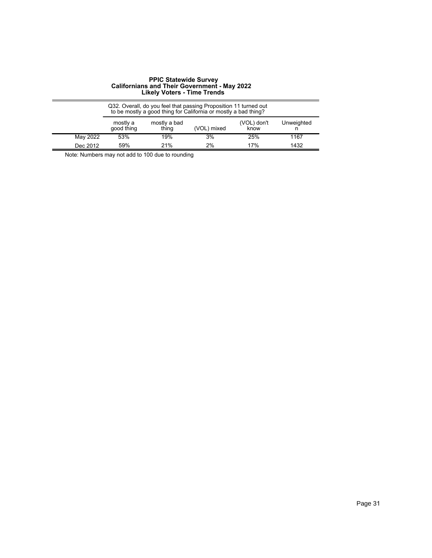|          | Q32. Overall, do you feel that passing Proposition 11 turned out to be mostly a good thing for California or mostly a bad thing? |                       |             |                     |            |
|----------|----------------------------------------------------------------------------------------------------------------------------------|-----------------------|-------------|---------------------|------------|
|          | mostly a<br>good thing                                                                                                           | mostly a bad<br>thing | (VOL) mixed | (VOL) don't<br>know | Unweighted |
| May 2022 | 53%                                                                                                                              | 19%                   | 3%          | 25%                 | 1167       |
| Dec 2012 | 59%                                                                                                                              | 21%                   | 2%          | 17%                 | 1432       |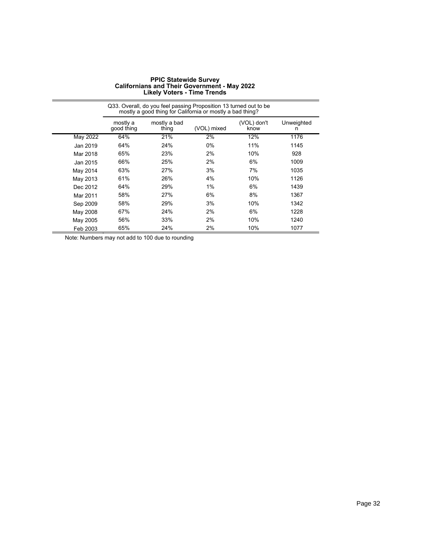|                 | Q33. Overall, do you feel passing Proposition 13 turned out to be<br>mostly a good thing for California or mostly a bad thing? |                       |             |                     |                 |  |
|-----------------|--------------------------------------------------------------------------------------------------------------------------------|-----------------------|-------------|---------------------|-----------------|--|
|                 | mostly a<br>good thing                                                                                                         | mostly a bad<br>thing | (VOL) mixed | (VOL) don't<br>know | Unweighted<br>n |  |
| <b>May 2022</b> | 64%                                                                                                                            | 21%                   | 2%          | 12%                 | 1176            |  |
| Jan 2019        | 64%                                                                                                                            | 24%                   | 0%          | 11%                 | 1145            |  |
| Mar 2018        | 65%                                                                                                                            | 23%                   | 2%          | 10%                 | 928             |  |
| Jan 2015        | 66%                                                                                                                            | 25%                   | 2%          | 6%                  | 1009            |  |
| May 2014        | 63%                                                                                                                            | 27%                   | 3%          | 7%                  | 1035            |  |
| May 2013        | 61%                                                                                                                            | 26%                   | 4%          | 10%                 | 1126            |  |
| Dec 2012        | 64%                                                                                                                            | 29%                   | 1%          | 6%                  | 1439            |  |
| Mar 2011        | 58%                                                                                                                            | 27%                   | 6%          | 8%                  | 1367            |  |
| Sep 2009        | 58%                                                                                                                            | 29%                   | 3%          | 10%                 | 1342            |  |
| May 2008        | 67%                                                                                                                            | 24%                   | 2%          | 6%                  | 1228            |  |
| May 2005        | 56%                                                                                                                            | 33%                   | 2%          | 10%                 | 1240            |  |
| Feb 2003        | 65%                                                                                                                            | 24%                   | 2%          | 10%                 | 1077            |  |